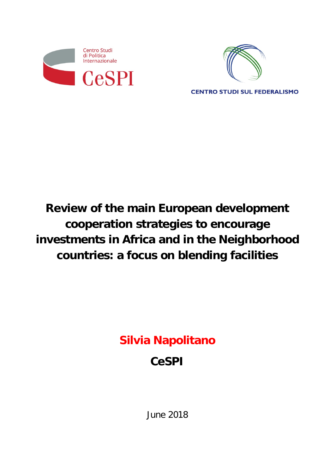



**CENTRO STUDI SUL FEDERALISMO** 

# **Review of the main European development cooperation strategies to encourage investments in Africa and in the Neighborhood countries: a focus on blending facilities**

**Silvia Napolitano CeSPI**

June 2018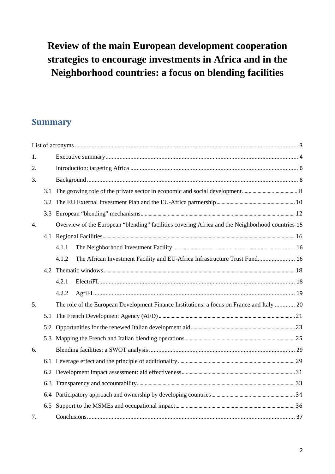## **Review of the main European development cooperation strategies to encourage investments in Africa and in the Neighborhood countries: a focus on blending facilities**

## **Summary**

| 1. |     |                                                                                                  |
|----|-----|--------------------------------------------------------------------------------------------------|
| 2. |     |                                                                                                  |
| 3. |     |                                                                                                  |
|    |     |                                                                                                  |
|    | 3.2 |                                                                                                  |
|    |     |                                                                                                  |
| 4. |     | Overview of the European "blending" facilities covering Africa and the Neighborhood countries 15 |
|    |     |                                                                                                  |
|    |     | 4.1.1                                                                                            |
|    |     | The African Investment Facility and EU-Africa Infrastructure Trust Fund 16<br>4.1.2              |
|    |     |                                                                                                  |
|    |     | 4.2.1                                                                                            |
|    |     | 4.2.2                                                                                            |
| 5. |     | The role of the European Development Finance Institutions: a focus on France and Italy  20       |
|    | 5.1 |                                                                                                  |
|    | 5.2 |                                                                                                  |
|    |     |                                                                                                  |
| 6. |     |                                                                                                  |
|    |     |                                                                                                  |
|    |     |                                                                                                  |
|    | 6.3 |                                                                                                  |
|    |     |                                                                                                  |
|    | 6.5 |                                                                                                  |
| 7. |     |                                                                                                  |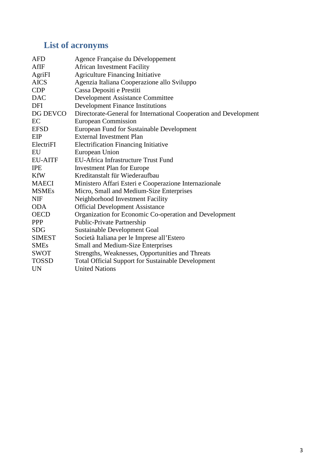## **List of acronyms**

| AFD            | Agence Française du Développement                                 |
|----------------|-------------------------------------------------------------------|
| AfIF           | <b>African Investment Facility</b>                                |
| AgriFI         | <b>Agriculture Financing Initiative</b>                           |
| <b>AICS</b>    | Agenzia Italiana Cooperazione allo Sviluppo                       |
| <b>CDP</b>     | Cassa Depositi e Prestiti                                         |
| <b>DAC</b>     | Development Assistance Committee                                  |
| DFI            | <b>Development Finance Institutions</b>                           |
| DG DEVCO       | Directorate-General for International Cooperation and Development |
| EC             | <b>European Commission</b>                                        |
| <b>EFSD</b>    | European Fund for Sustainable Development                         |
| EIP            | <b>External Investment Plan</b>                                   |
| ElectriFI      | <b>Electrification Financing Initiative</b>                       |
| EU             | European Union                                                    |
| <b>EU-AITF</b> | EU-Africa Infrastructure Trust Fund                               |
| <b>IPE</b>     | <b>Investment Plan for Europe</b>                                 |
| <b>KfW</b>     | Kreditanstalt für Wiederaufbau                                    |
| <b>MAECI</b>   | Ministero Affari Esteri e Cooperazione Internazionale             |
| <b>MSMEs</b>   | Micro, Small and Medium-Size Enterprises                          |
| <b>NIF</b>     | Neighborhood Investment Facility                                  |
| <b>ODA</b>     | <b>Official Development Assistance</b>                            |
| <b>OECD</b>    | Organization for Economic Co-operation and Development            |
| <b>PPP</b>     | Public-Private Partnership                                        |
| <b>SDG</b>     | Sustainable Development Goal                                      |
| <b>SIMEST</b>  | Società Italiana per le Imprese all'Estero                        |
| <b>SMEs</b>    | Small and Medium-Size Enterprises                                 |
| <b>SWOT</b>    | Strengths, Weaknesses, Opportunities and Threats                  |
| <b>TOSSD</b>   | <b>Total Official Support for Sustainable Development</b>         |
| <b>UN</b>      | <b>United Nations</b>                                             |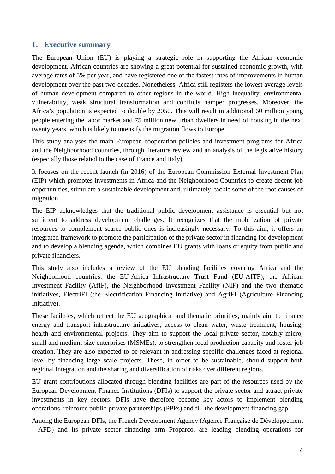## **1. Executive summary**

The European Union (EU) is playing a strategic role in supporting the African economic development. African countries are showing a great potential for sustained economic growth, with average rates of 5% per year, and have registered one of the fastest rates of improvements in human development over the past two decades. Nonetheless, Africa still registers the lowest average levels of human development compared to other regions in the world. High inequality, environmental vulnerability, weak structural transformation and conflicts hamper progresses. Moreover, the Africa's population is expected to double by 2050. This will result in additional 60 million young people entering the labor market and 75 million new urban dwellers in need of housing in the next twenty years, which is likely to intensify the migration flows to Europe.

This study analyses the main European cooperation policies and investment programs for Africa and the Neighborhood countries, through literature review and an analysis of the legislative history (especially those related to the case of France and Italy).

It focuses on the recent launch (in 2016) of the European Commission External Investment Plan (EIP) which promotes investments in Africa and the Neighborhood Countries to create decent job opportunities, stimulate a sustainable development and, ultimately, tackle some of the root causes of migration.

The EIP acknowledges that the traditional public development assistance is essential but not sufficient to address development challenges. It recognizes that the mobilization of private resources to complement scarce public ones is increasingly necessary. To this aim, it offers an integrated framework to promote the participation of the private sector in financing for development and to develop a blending agenda, which combines EU grants with loans or equity from public and private financiers.

This study also includes a review of the EU blending facilities covering Africa and the Neighborhood countries: the EU-Africa Infrastructure Trust Fund (EU-AITF), the African Investment Facility (AfIF), the [Neighborhood Investment Facility \(NIF\)](http://ec.europa.eu/enlargement/neighbourhood/neighbourhood-wide/neighbourhood-investment-facility/index_en.htm) and the two thematic initiatives, ElectriFI (the Electrification Financing Initiative) and AgriFI (Agriculture Financing Initiative).

These facilities, which reflect the EU geographical and thematic priorities, mainly aim to finance energy and transport infrastructure initiatives, access to clean water, waste treatment, housing, health and environmental projects. They aim to support the local private sector, notably micro, small and medium-size enterprises (MSMEs), to strengthen local production capacity and foster job creation. They are also expected to be relevant in addressing specific challenges faced at regional level by financing large scale projects. These, in order to be sustainable, should support both regional integration and the sharing and diversification of risks over different regions.

EU grant contributions allocated through blending facilities are part of the resources used by the European Development Finance Institutions (DFIs) to support the private sector and attract private investments in key sectors. DFIs have therefore become key actors to implement blending operations, reinforce public-private partnerships (PPPs) and fill the development financing gap.

Among the European DFIs, the French Development Agency (Agence Française de Développement - AFD) and its private sector financing arm Proparco, are leading blending operations for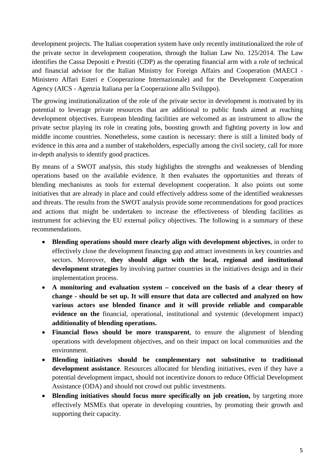development projects. The Italian cooperation system have only recently institutionalized the role of the private sector in development cooperation, through the Italian Law No. 125/2014. The Law identifies the Cassa Depositi e Prestiti (CDP) as the operating financial arm with a role of technical and financial advisor for the Italian Ministry for Foreign Affairs and Cooperation (MAECI - Ministero Affari Esteri e Cooperazione Internazionale) and for the Development Cooperation Agency (AICS - Agenzia Italiana per la Cooperazione allo Sviluppo).

The growing institutionalization of the role of the private sector in development is motivated by its potential to leverage private resources that are additional to public funds aimed at reaching development objectives. European blending facilities are welcomed as an instrument to allow the private sector playing its role in creating jobs, boosting growth and fighting poverty in low and middle income countries. Nonetheless, some caution is necessary: there is still a limited body of evidence in this area and a number of stakeholders, especially among the civil society, call for more in-depth analysis to identify good practices.

By means of a SWOT analysis, this study highlights the strengths and weaknesses of blending operations based on the available evidence. It then evaluates the opportunities and threats of blending mechanisms as tools for external development cooperation. It also points out some initiatives that are already in place and could effectively address some of the identified weaknesses and threats. The results from the SWOT analysis provide some recommendations for good practices and actions that might be undertaken to increase the effectiveness of blending facilities as instrument for achieving the EU external policy objectives. The following is a summary of these recommendations.

- **Blending operations should more clearly align with development objectives**, in order to effectively close the development financing gap and attract investments in key countries and sectors. Moreover, **they should align with the local, regional and institutional development strategies** by involving partner countries in the initiatives design and in their implementation process.
- **A monitoring and evaluation system – conceived on the basis of a clear theory of change - should be set up. It will ensure that data are collected and analyzed on how various actors use blended finance and it will provide reliable and comparable evidence on the** financial, operational, institutional and systemic (development impact) **additionality of blending operations.**
- **Financial flows should be more transparent**, to ensure the alignment of blending operations with development objectives, and on their impact on local communities and the environment.
- **Blending initiatives should be complementary not substitutive to traditional development assistance**. Resources allocated for blending initiatives, even if they have a potential development impact, should not incentivize donors to reduce Official Development Assistance (ODA) and should not crowd out public investments.
- **Blending initiatives should focus more specifically on job creation,** by targeting more effectively MSMEs that operate in developing countries, by promoting their growth and supporting their capacity.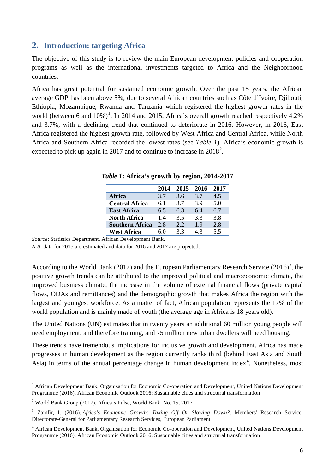## **2. Introduction: targeting Africa**

The objective of this study is to review the main European development policies and cooperation programs as well as the international investments targeted to Africa and the Neighborhood countries.

Africa has great potential for sustained economic growth. Over the past 15 years, the African average GDP has been above 5%, due to several African countries such as Côte d'Ivoire, Djibouti, Ethiopia, Mozambique, Rwanda and Tanzania which registered the highest growth rates in the world (between 6 and  $10\%$  $10\%$ )<sup>1</sup>. In 2014 and 2015, Africa's overall growth reached respectively 4.2% and 3.7%, with a declining trend that continued to deteriorate in 2016. However, in 2016, East Africa registered the highest growth rate, followed by West Africa and Central Africa, while North Africa and Southern Africa recorded the lowest rates (see *Table 1*). Africa's economic growth is expected to pick up again in [2](#page-5-1)017 and to continue to increase in  $2018^2$ .

|                        | 2014 | 2015 | 2016 | 2017 |
|------------------------|------|------|------|------|
| Africa                 | 3.7  | 3.6  | 3.7  | 4.5  |
| <b>Central Africa</b>  | 61   | 3.7  | 3.9  | 5.0  |
| <b>East Africa</b>     | 6.5  | 6.3  | 6.4  | 6.7  |
| North Africa           | 14   | 3.5  | 3.3  | 3.8  |
| <b>Southern Africa</b> | 2.8  | 2.2  | 1.9  | 2.8  |
| <b>West Africa</b>     | 5 U  | 33   | 43   | 55   |

*Table 1***: Africa's growth by region, 2014-2017**

*Source*: Statistics Department, African Development Bank.

*N.B*: data for 2015 are estimated and data for 2016 and 2017 are projected.

According to the World Bank (2017) and the European Parliamentary Research Service  $(2016)^3$  $(2016)^3$ , the positive growth trends can be attributed to the improved political and macroeconomic climate, the improved business climate, the increase in the volume of external financial flows (private capital flows, ODAs and remittances) and the demographic growth that makes Africa the region with the largest and youngest workforce. As a matter of fact, African population represents the 17% of the world population and is mainly made of youth (the average age in Africa is 18 years old).

The United Nations (UN) estimates that in twenty years an additional 60 million young people will need employment, and therefore training, and 75 million new urban dwellers will need housing.

These trends have tremendous implications for inclusive growth and development. Africa has made progresses in human development as the region currently ranks third (behind East Asia and South Asia) in terms of the annual percentage change in human development index<sup>[4](#page-5-3)</sup>. Nonetheless, most

<span id="page-5-0"></span><sup>&</sup>lt;sup>1</sup> African Development Bank, Organisation for Economic Co-operation and Development, United Nations Development Programme (2016). African Economic Outlook 2016: Sustainable cities and structural transformation

<span id="page-5-1"></span><sup>2</sup> World Bank Group (2017). Africa's Pulse, World Bank, No. 15, 2017

<span id="page-5-2"></span><sup>3</sup> Zamfir, I. (2016). *Africa's Economic Growth: Taking Off Or Slowing Down?*. Members' Research Service, Directorate-General for Parliamentary Research Services, European Parliament

<span id="page-5-3"></span><sup>4</sup> African Development Bank, Organisation for Economic Co-operation and Development, United Nations Development Programme (2016). African Economic Outlook 2016: Sustainable cities and structural transformation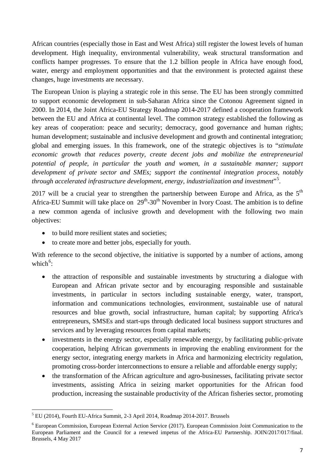African countries (especially those in East and West Africa) still register the lowest levels of human development. High inequality, environmental vulnerability, weak structural transformation and conflicts hamper progresses. To ensure that the 1.2 billion people in Africa have enough food, water, energy and employment opportunities and that the environment is protected against these changes, huge investments are necessary.

The European Union is playing a strategic role in this sense. The EU has been strongly committed to support economic development in sub-Saharan Africa since the Cotonou Agreement signed in 2000. In 2014, the Joint Africa-EU Strategy Roadmap 2014-2017 defined a cooperation framework between the EU and Africa at continental level. The common strategy established the following as key areas of cooperation: peace and security; democracy, good governance and human rights; human development; sustainable and inclusive development and growth and continental integration; global and emerging issues. In this framework, one of the strategic objectives is to "*stimulate economic growth that reduces poverty, create decent jobs and mobilize the entrepreneurial potential of people, in particular the youth and women, in a sustainable manner; support development of private sector and SMEs; support the continental integration process, notably*  through accelerated infrastructure development, energy, industrialization and investment<sup>,,[5](#page-6-0)</sup>.

2017 will be a crucial year to strengthen the partnership between Europe and Africa, as the  $5<sup>th</sup>$ Africa-EU Summit will take place on  $29<sup>th</sup>-30<sup>th</sup>$  November in Ivory Coast. The ambition is to define a new common agenda of inclusive growth and development with the following two main objectives:

- to build more resilient states and societies:
- to create more and better jobs, especially for youth.

With reference to the second objective, the initiative is supported by a number of actions, among which $6$ :

- the attraction of responsible and sustainable investments by structuring a dialogue with European and African private sector and by encouraging responsible and sustainable investments, in particular in sectors including sustainable energy, water, transport, information and communications technologies, environment, sustainable use of natural resources and blue growth, social infrastructure, human capital; by supporting Africa's entrepreneurs, SMSEs and start-ups through dedicated local business support structures and services and by leveraging resources from capital markets;
- investments in the energy sector, especially renewable energy, by facilitating public-private cooperation, helping African governments in improving the enabling environment for the energy sector, integrating energy markets in Africa and harmonizing electricity regulation, promoting cross-border interconnections to ensure a reliable and affordable energy supply;
- the transformation of the African agriculture and agro-businesses, facilitating private sector investments, assisting Africa in seizing market opportunities for the African food production, increasing the sustainable productivity of the African fisheries sector, promoting

<sup>5</sup> EU (2014), Fourth EU-Africa Summit, 2-3 April 2014, Roadmap 2014-2017. Brussels

<span id="page-6-1"></span><span id="page-6-0"></span><sup>6</sup> European Commission, European External Action Service (2017). European Commission Joint Communication to the European Parliament and the Council for a renewed impetus of the Africa-EU Partnership. JOIN/2017/017/final. Brussels, 4 May 2017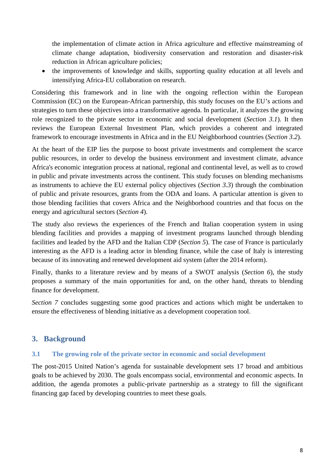the implementation of climate action in Africa agriculture and effective mainstreaming of climate change adaptation, biodiversity conservation and restoration and disaster-risk reduction in African agriculture policies;

• the improvements of knowledge and skills, supporting quality education at all levels and intensifying Africa-EU collaboration on research.

Considering this framework and in line with the ongoing reflection within the European Commission (EC) on the European-African partnership, this study focuses on the EU's actions and strategies to turn these objectives into a transformative agenda. In particular, it analyzes the growing role recognized to the private sector in economic and social development (*Section 3.1*). It then reviews the European External Investment Plan, which provides a coherent and integrated framework to encourage investments in Africa and in the EU Neighborhood countries (*Section 3.2*).

At the heart of the EIP lies the purpose to boost private investments and complement the scarce public resources, in order to develop the business environment and investment climate, advance Africa's economic integration process at national, regional and continental level, as well as to crowd in public and private investments across the continent. This study focuses on blending mechanisms as instruments to achieve the EU external policy objectives (*Section 3.3*) through the combination of public and private resources, grants from the ODA and loans. A particular attention is given to those blending facilities that covers Africa and the Neighborhood countries and that focus on the energy and agricultural sectors (*Section 4*).

The study also reviews the experiences of the French and Italian cooperation system in using blending facilities and provides a mapping of investment programs launched through blending facilities and leaded by the AFD and the Italian CDP (*Section 5*). The case of France is particularly interesting as the AFD is a leading actor in blending finance, while the case of Italy is interesting because of its innovating and renewed development aid system (after the 2014 reform).

Finally, thanks to a literature review and by means of a SWOT analysis (*Section 6*), the study proposes a summary of the main opportunities for and, on the other hand, threats to blending finance for development.

*Section 7* concludes suggesting some good practices and actions which might be undertaken to ensure the effectiveness of blending initiative as a development cooperation tool.

## **3. Background**

### **3.1 The growing role of the private sector in economic and social development**

The post-2015 United Nation's agenda for sustainable development sets 17 broad and ambitious goals to be achieved by 2030. The goals encompass social, environmental and economic aspects. In addition, the agenda promotes a public-private partnership as a strategy to fill the significant financing gap faced by developing countries to meet these goals.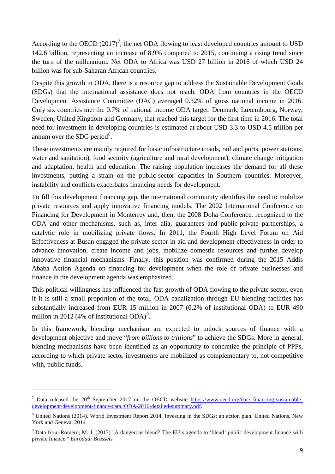According to the OECD  $(2017)^7$  $(2017)^7$  $(2017)^7$ , the net ODA flowing to least developed countries amount to USD 142.6 billion, representing an increase of 8.9% compared to 2015, continuing a rising trend since the turn of the millennium. Net ODA to Africa was USD 27 billion in 2016 of which USD 24 billion was for sub-Saharan African countries.

Despite this growth in ODA, there is a resource gap to address the Sustainable Development Goals (SDGs) that the international assistance does not reach. ODA from countries in the OECD Development Assistance Committee (DAC) averaged 0.32% of gross national income in 2016. Only six countries met the 0.7% of national income ODA target: Denmark, Luxembourg, Norway, Sweden, United Kingdom and Germany, that reached this target for the first time in 2016. The total need for investment in developing countries is estimated at about USD 3.3 to USD 4.5 trillion per annum over the SDG period $8$ .

These investments are mainly required for basic infrastructure (roads, rail and ports; power stations; water and sanitation), food security (agriculture and rural development), climate change mitigation and adaptation, health and education. The raising population increases the demand for all these investments, putting a strain on the public-sector capacities in Southern countries. Moreover, instability and conflicts exacerbates financing needs for development.

To fill this development financing gap, the international community identifies the need to mobilize private resources and apply innovative financing models. The 2002 International Conference on Financing for Development in Monterrey and, then, the 2008 Doha Conference, recognized to the ODA and other mechanisms, such as, inter alia, guarantees and public-private partnerships, a catalytic role in mobilizing private flows. In 2011, the Fourth High Level Forum on Aid Effectiveness at Busan engaged the private sector in aid and development effectiveness in order to advance innovation, create income and jobs, mobilize domestic resources and further develop innovative financial mechanisms. Finally, this position was confirmed during the 2015 Addis Ababa Action Agenda on financing for development when the role of private businesses and finance in the development agenda was emphasized.

This political willingness has influenced the fast growth of ODA flowing to the private sector, even if it is still a small proportion of the total. ODA canalization through EU blending facilities has substantially increased from EUR 15 million in 2007 (0.2% of institutional ODA) to EUR 490 million in 2012 (4% of institutional ODA)<sup>[9](#page-8-2)</sup>.

In this framework, blending mechanism are expected to unlock sources of finance with a development objective and move "*from billions to trillions*" to achieve the SDGs. More in general, blending mechanisms have been identified as an opportunity to concretize the principle of PPPs, according to which private sector investments are mobilized as complementary to, not competitive with, public funds.

 $\overline{a}$ 

<span id="page-8-0"></span><sup>&</sup>lt;sup>7</sup> Data released the  $20^{th}$  September 2017 on the OECD website [https://www.oecd.org/dac/](https://www.oecd.org/dac/%20financing-sustainable-development/development-finance-data%20/ODA-2016-detailed-summary.pdf) financing-sustainable[development/development-finance-data /ODA-2016-detailed-summary.pdf.](https://www.oecd.org/dac/%20financing-sustainable-development/development-finance-data%20/ODA-2016-detailed-summary.pdf)

<span id="page-8-1"></span><sup>8</sup> United Nations (2014). World Investment Report 2014. Investing in the SDGs: an action plan. United Nations, New York and Geneva, 2014

<span id="page-8-2"></span><sup>&</sup>lt;sup>9</sup> Data from Romero, M. J. (2013) "A dangerous blend? The EU's agenda to 'blend' public development finance with private finance." *Eurodad: Brussels*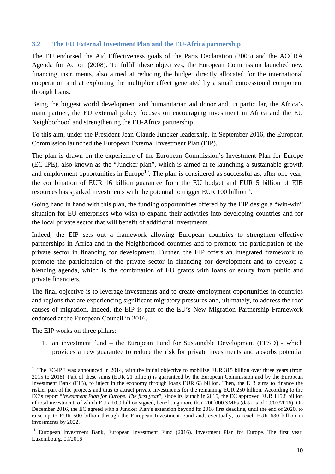### **3.2 The EU External Investment Plan and the EU-Africa partnership**

The EU endorsed the Aid Effectiveness goals of the Paris Declaration (2005) and the ACCRA Agenda for Action (2008). To fulfill these objectives, the European Commission launched new financing instruments, also aimed at reducing the budget directly allocated for the international cooperation and at exploiting the multiplier effect generated by a small concessional component through loans.

Being the biggest world development and humanitarian aid donor and, in particular, the Africa's main partner, the EU external policy focuses on encouraging investment in Africa and the EU Neighborhood and strengthening the EU-Africa partnership.

To this aim, under the President Jean-Claude Juncker leadership, in September 2016, the European Commission launched the European External Investment Plan (EIP).

The plan is drawn on the experience of the European Commission's Investment Plan for Europe (EC-IPE), also known as the "Juncker plan", which is aimed at re-launching a sustainable growth and employment opportunities in Europe<sup>[10](#page-9-0)</sup>. The plan is considered as successful as, after one year, the combination of EUR 16 billion guarantee from the EU budget and EUR 5 billion of EIB resources has sparked investments with the potential to trigger EUR 100 billion<sup>11</sup>.

Going hand in hand with this plan, the funding opportunities offered by the EIP design a "win-win" situation for EU enterprises who wish to expand their activities into developing countries and for the local private sector that will benefit of additional investments.

Indeed, the EIP sets out a framework allowing European countries to strengthen effective partnerships in Africa and in the Neighborhood countries and to promote the participation of the private sector in financing for development. Further, the EIP offers an integrated framework to promote the participation of the private sector in financing for development and to develop a blending agenda, which is the combination of EU grants with loans or equity from public and private financiers.

The final objective is to leverage investments and to create employment opportunities in countries and regions that are experiencing significant migratory pressures and, ultimately, to address the root causes of migration. Indeed, the EIP is part of the EU's New Migration Partnership Framework endorsed at the European Council in 2016.

The EIP works on three pillars:

<u>.</u>

1. an investment fund – the European Fund for Sustainable Development (EFSD) - which provides a new guarantee to reduce the risk for private investments and absorbs potential

<span id="page-9-0"></span> $10$  The EC-IPE was announced in 2014, with the initial objective to mobilize EUR 315 billion over three years (from 2015 to 2018). Part of these sums (EUR 21 billion) is guaranteed by the European Commission and by the European Investment Bank (EIB), to inject in the economy through loans EUR 63 billion. Then, the EIB aims to finance the riskier part of the projects and thus to attract private investments for the remaining EUR 250 billion. According to the EC's report "*Investment Plan for Europe. The first year*", since its launch in 2015, the EC approved EUR 115.8 billion of total investment, of which EUR 10.9 billion signed, benefiting more than 200˙000 SMEs (data as of 19/07/2016). On December 2016, the EC agreed with a Juncker Plan's extension beyond its 2018 first deadline, until the end of 2020, to raise up to EUR 500 billion through the European Investment Fund and, eventually, to reach EUR 630 billion in investments by 2022.

<span id="page-9-1"></span><sup>&</sup>lt;sup>11</sup> European Investment Bank, European Investment Fund (2016). Investment Plan for Europe. The first year. Luxembourg, 09/2016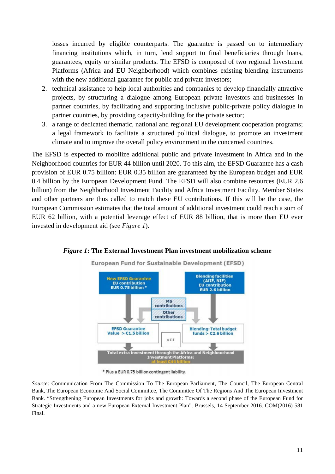losses incurred by eligible counterparts. The guarantee is passed on to intermediary financing institutions which, in turn, lend support to final beneficiaries through loans, guarantees, equity or similar products. The EFSD is composed of two regional Investment Platforms (Africa and EU Neighborhood) which combines existing blending instruments with the new additional guarantee for public and private investors;

- 2. technical assistance to help local authorities and companies to develop financially attractive projects, by structuring a dialogue among European private investors and businesses in partner countries, by facilitating and supporting inclusive public-private policy dialogue in partner countries, by providing capacity-building for the private sector;
- 3. a range of dedicated thematic, national and regional EU development cooperation programs; a legal framework to facilitate a structured political dialogue, to promote an investment climate and to improve the overall policy environment in the concerned countries.

The EFSD is expected to mobilize additional public and private investment in Africa and in the Neighborhood countries for EUR 44 billion until 2020. To this aim, the EFSD Guarantee has a cash provision of EUR 0.75 billion: EUR 0.35 billion are guaranteed by the European budget and EUR 0.4 billion by the European Development Fund. The EFSD will also combine resources (EUR 2.6 billion) from the Neighborhood Investment Facility and Africa Investment Facility. Member States and other partners are thus called to match these EU contributions. If this will be the case, the European Commission estimates that the total amount of additional investment could reach a sum of EUR 62 billion, with a potential leverage effect of EUR 88 billion, that is more than EU ever invested in development aid (see *Figure 1*).



*Figure 1***: The External Investment Plan investment mobilization scheme**

\* Plus a EUR 0.75 billion contingent liability.

*Source*: Communication From The Commission To The European Parliament, The Council, The European Central Bank, The European Economic And Social Committee, The Committee Of The Regions And The European Investment Bank. "Strengthening European Investments for jobs and growth: Towards a second phase of the European Fund for Strategic Investments and a new European External Investment Plan". Brussels, 14 September 2016. COM(2016) 581 Final.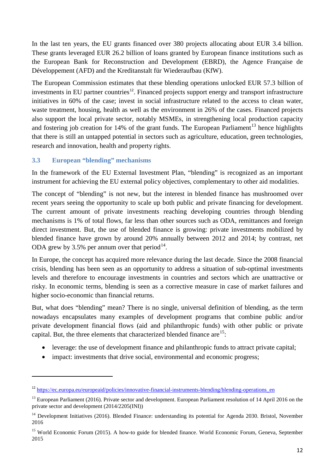In the last ten years, the EU grants financed over 380 projects allocating about EUR 3.4 billion. These grants leveraged EUR 26.2 billion of loans granted by European finance institutions such as the European Bank for Reconstruction and Development (EBRD), the Agence Française de Développement (AFD) and the Kreditanstalt für Wiederaufbau (KfW).

The European Commission estimates that these blending operations unlocked EUR 57.3 billion of investments in EU partner countries<sup>[12](#page-11-0)</sup>. Financed projects support energy and transport infrastructure initiatives in 60% of the case; invest in social infrastructure related to the access to clean water, waste treatment, housing, health as well as the environment in 26% of the cases. Financed projects also support the local private sector, notably MSMEs, in strengthening local production capacity and fostering job creation for 14% of the grant funds. The European Parliament<sup>[13](#page-11-1)</sup> hence highlights that there is still an untapped potential in sectors such as agriculture, education, green technologies, research and innovation, health and property rights.

### **3.3 European "blending" mechanisms**

**.** 

In the framework of the EU External Investment Plan, "blending" is recognized as an important instrument for achieving the EU external policy objectives, complementary to other aid modalities.

The concept of "blending" is not new, but the interest in blended finance has mushroomed over recent years seeing the opportunity to scale up both public and private financing for development. The current amount of private investments reaching developing countries through blending mechanisms is 1% of total flows, far less than other sources such as ODA, remittances and foreign direct investment. But, the use of blended finance is growing: private investments mobilized by blended finance have grown by around 20% annually between 2012 and 2014; by contrast, net ODA grew by 3.5% per annum over that period $^{14}$  $^{14}$  $^{14}$ .

In Europe, the concept has acquired more relevance during the last decade. Since the 2008 financial crisis, blending has been seen as an opportunity to address a situation of sub-optimal investments levels and therefore to encourage investments in countries and sectors which are unattractive or risky. In economic terms, blending is seen as a corrective measure in case of market failures and higher socio-economic than financial returns.

But, what does "blending" mean? There is no single, universal definition of blending, as the term nowadays encapsulates many examples of development programs that combine public and/or private development financial flows (aid and philanthropic funds) with other public or private capital. But, the three elements that characterized blended finance are  $15$ .

- leverage: the use of development finance and philanthropic funds to attract private capital;
- impact: investments that drive social, environmental and economic progress;

<span id="page-11-0"></span><sup>&</sup>lt;sup>12</sup> https://ec.europa.eu/europeaid/policies/innovative-financial-instruments-blending/blending-operations en

<span id="page-11-1"></span> $13$  European Parliament (2016). Private sector and development. European Parliament resolution of 14 April 2016 on the private sector and development (2014/2205(INI))

<span id="page-11-2"></span><sup>&</sup>lt;sup>14</sup> Development Initiatives (2016). Blended Finance: understanding its potential for Agenda 2030. Bristol, November 2016

<span id="page-11-3"></span><sup>&</sup>lt;sup>15</sup> World Economic Forum (2015). A how-to guide for blended finance. World Economic Forum, Geneva, September 2015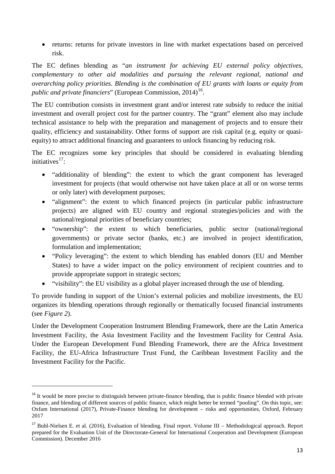• returns: returns for private investors in line with market expectations based on perceived risk.

The EC defines blending as "*an instrument for achieving EU external policy objectives, complementary to other aid modalities and pursuing the relevant regional, national and overarching policy priorities. Blending is the combination of EU grants with loans or equity from public and private financiers*" (European Commission, 2014)<sup>[16](#page-12-0)</sup>.

The EU contribution consists in investment grant and/or interest rate subsidy to reduce the initial investment and overall project cost for the partner country. The "grant" element also may include technical assistance to help with the preparation and management of projects and to ensure their quality, efficiency and sustainability. Other forms of support are risk capital (e.g. equity or quasiequity) to attract additional financing and guarantees to unlock financing by reducing risk.

The EC recognizes some key principles that should be considered in evaluating blending initiatives $17$ :

- "additionality of blending": the extent to which the grant component has leveraged investment for projects (that would otherwise not have taken place at all or on worse terms or only later) with development purposes;
- "alignment": the extent to which financed projects (in particular public infrastructure projects) are aligned with EU country and regional strategies/policies and with the national/regional priorities of beneficiary countries;
- "ownership": the extent to which beneficiaries, public sector (national/regional governments) or private sector (banks, etc.) are involved in project identification, formulation and implementation;
- "Policy leveraging": the extent to which blending has enabled donors (EU and Member States) to have a wider impact on the policy environment of recipient countries and to provide appropriate support in strategic sectors;
- "visibility": the EU visibility as a global player increased through the use of blending.

To provide funding in support of the Union's external policies and mobilize investments, the EU organizes its blending operations through regionally or thematically focused financial instruments (see *Figure 2*).

Under the Development Cooperation Instrument Blending Framework, there are the [Latin America](https://ec.europa.eu/europeaid/node/7336)  [Investment Facility,](https://ec.europa.eu/europeaid/node/7336) the [Asia Investment Facility](https://ec.europa.eu/europeaid/regions/asia/asian-investment-facility-aif_en) and the [Investment Facility for Central Asia.](https://ec.europa.eu/europeaid/regions/central-asia/investment-facility-central-asia-ifca_en) Under the European Development Fund Blending Framework, there are the [Africa Investment](http://ec.europa.eu/europeaid/regions/africa-investment-facility_en)  [Facility,](http://ec.europa.eu/europeaid/regions/africa-investment-facility_en) the [EU-Africa Infrastructure Trust Fund,](https://ec.europa.eu/europeaid/node/1521) the [Caribbean Investment Facility](https://ec.europa.eu/europeaid/regions/latin-america/caribbean-investment-facility_en) and the [Investment Facility for the Pacific.](https://ec.europa.eu/europeaid/regions/pacific/investment-facility-pacific-ifp_en)

<u>.</u>

<span id="page-12-0"></span> $16$  It would be more precise to distinguish between private-finance blending, that is public finance blended with private finance, and blending of different sources of public finance, which might better be termed "pooling". On this topic, see: Oxfam International (2017), Private-Finance blending for development – risks and opportunities, Oxford, February 2017

<span id="page-12-1"></span><sup>&</sup>lt;sup>17</sup> Buhl-Nielsen E. et al. (2016), Evaluation of blending. Final report. Volume III – Methodological approach. Report prepared for the Evaluation Unit of the Directorate-General for International Cooperation and Development (European Commission). December 2016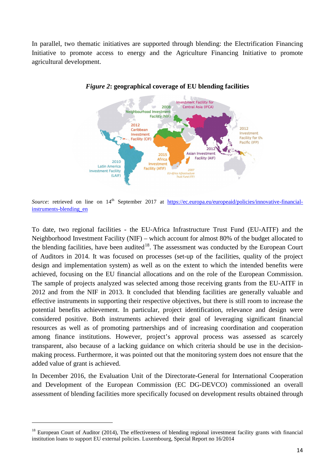In parallel, two thematic initiatives are supported through blending: the Electrification Financing Initiative to promote access to energy and the Agriculture Financing Initiative to promote agricultural development.



*Figure 2***: geographical coverage of EU blending facilities**

To date, two regional facilities - the EU-Africa Infrastructure Trust Fund (EU-AITF) and the Neighborhood Investment Facility (NIF) – which account for almost 80% of the budget allocated to the blending facilities, have been audited<sup>18</sup>. The assessment was conducted by the European Court of Auditors in 2014. It was focused on processes (set-up of the facilities, quality of the project design and implementation system) as well as on the extent to which the intended benefits were achieved, focusing on the EU financial allocations and on the role of the European Commission. The sample of projects analyzed was selected among those receiving grants from the EU-AITF in 2012 and from the NIF in 2013. It concluded that blending facilities are generally valuable and effective instruments in supporting their respective objectives, but there is still room to increase the potential benefits achievement. In particular, project identification, relevance and design were considered positive. Both instruments achieved their goal of leveraging significant financial resources as well as of promoting partnerships and of increasing coordination and cooperation among finance institutions. However, project's approval process was assessed as scarcely transparent, also because of a lacking guidance on which criteria should be use in the decisionmaking process. Furthermore, it was pointed out that the monitoring system does not ensure that the added value of grant is achieved.

In December 2016, the Evaluation Unit of the Directorate-General for International Cooperation and Development of the European Commission (EC DG-DEVCO) commissioned an overall assessment of blending facilities more specifically focused on development results obtained through

<u>.</u>

*Source*: retrieved on line on 14<sup>th</sup> September 2017 at [https://ec.europa.eu/europeaid/policies/innovative-financial](https://ec.europa.eu/europeaid/policies/innovative-financial-instruments-blending_en)instruments-blending en

<span id="page-13-0"></span> $18$  European Court of Auditor (2014), The effectiveness of blending regional investment facility grants with financial institution loans to support EU external policies. Luxembourg, Special Report no 16/2014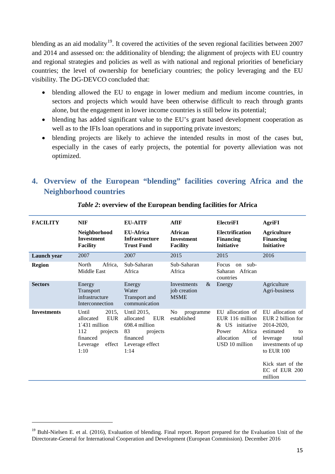blending as an aid modality<sup>[19](#page-14-0)</sup>. It covered the activities of the seven regional facilities between 2007 and 2014 and assessed on: the additionality of blending; the alignment of projects with EU country and regional strategies and policies as well as with national and regional priorities of beneficiary countries; the level of ownership for beneficiary countries; the policy leveraging and the EU visibility. The DG-DEVCO concluded that:

- blending allowed the EU to engage in lower medium and medium income countries, in sectors and projects which would have been otherwise difficult to reach through grants alone, but the engagement in lower income countries is still below its potential;
- blending has added significant value to the EU's grant based development cooperation as well as to the IFIs loan operations and in supporting private investors;
- blending projects are likely to achieve the intended results in most of the cases but, especially in the cases of early projects, the potential for poverty alleviation was not optimized.

## **4. Overview of the European "blending" facilities covering Africa and the Neighborhood countries**

| <b>FACILITY</b>    | <b>NIF</b>                                                                                                              | <b>EU-AITF</b>                                                                                                   | AfIF                                                      | <b>ElectriFI</b>                                                                                                   | <b>AgriFI</b>                                                                                                                                                                   |
|--------------------|-------------------------------------------------------------------------------------------------------------------------|------------------------------------------------------------------------------------------------------------------|-----------------------------------------------------------|--------------------------------------------------------------------------------------------------------------------|---------------------------------------------------------------------------------------------------------------------------------------------------------------------------------|
|                    | Neighborhood<br><b>Investment</b><br><b>Facility</b>                                                                    | <b>EU-Africa</b><br><b>Infrastructure</b><br><b>Trust Fund</b>                                                   | <b>African</b><br><b>Investment</b><br><b>Facility</b>    | Electrification<br><b>Financing</b><br><b>Initiative</b>                                                           | <b>Agriculture</b><br><b>Financing</b><br><b>Initiative</b>                                                                                                                     |
| Launch year        | 2007                                                                                                                    | 2007                                                                                                             | 2015                                                      | 2015                                                                                                               | 2016                                                                                                                                                                            |
| <b>Region</b>      | Africa,<br>North<br><b>Middle East</b>                                                                                  | Sub-Saharan<br>Africa                                                                                            | Sub-Saharan<br>Africa                                     | Focus<br>sub-<br>on<br>Saharan African<br>countries                                                                |                                                                                                                                                                                 |
| <b>Sectors</b>     | Energy<br>Transport<br>infrastructure<br>Interconnection                                                                | Energy<br>Water<br>Transport and<br>communication                                                                | <b>Investments</b><br>$\&$<br>job creation<br><b>MSME</b> | Energy                                                                                                             | Agriculture<br>Agri-business                                                                                                                                                    |
| <b>Investments</b> | 2015,<br>Until<br><b>EUR</b><br>allocated<br>1'431 million<br>112<br>projects<br>financed<br>effect<br>Leverage<br>1:10 | Until 2015,<br><b>EUR</b><br>allocated<br>698.4 million<br>83<br>projects<br>financed<br>Leverage effect<br>1:14 | No<br>programme<br>established                            | allocation of<br>EU<br>EUR 116 million<br>& US initiative<br>Africa<br>Power<br>allocation<br>of<br>USD 10 million | EU allocation of<br>EUR 2 billion for<br>2014-2020,<br>estimated<br>to<br>leverage<br>total<br>investments of up<br>to EUR 100<br>Kick start of the<br>EC of EUR 200<br>million |

#### *Table 2***: overview of the European bending facilities for Africa**

 $\overline{a}$ 

<span id="page-14-0"></span><sup>&</sup>lt;sup>19</sup> Buhl-Nielsen E. et al. (2016), Evaluation of blending. Final report. Report prepared for the Evaluation Unit of the Directorate-General for International Cooperation and Development (European Commission). December 2016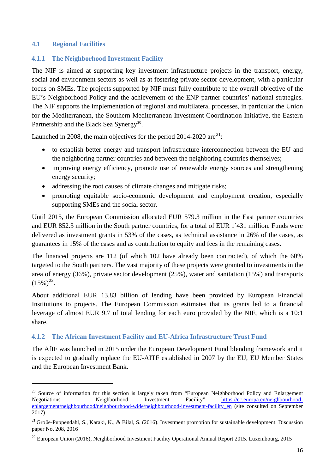#### **4.1 Regional Facilities**

**.** 

#### **4.1.1 The Neighborhood Investment Facility**

The NIF is aimed at supporting key investment infrastructure projects in the transport, energy, social and environment sectors as well as at fostering private sector development, with a particular focus on SMEs. The projects supported by NIF must fully contribute to the overall objective of the EU's Neighborhood Policy and the achievement of the ENP partner countries' national strategies. The NIF supports the implementation of regional and multilateral processes, in particular the Union for the Mediterranean, the Southern Mediterranean Investment Coordination Initiative, the Eastern Partnership and the Black Sea Synergy<sup>[20](#page-15-0)</sup>.

Launched in 2008, the main objectives for the period 2014-2020 are $^{21}$  $^{21}$  $^{21}$ :

- to establish better energy and transport infrastructure interconnection between the EU and the neighboring partner countries and between the neighboring countries themselves;
- improving energy efficiency, promote use of renewable energy sources and strengthening energy security;
- addressing the root causes of climate changes and mitigate risks;
- promoting equitable socio-economic development and employment creation, especially supporting SMEs and the social sector.

Until 2015, the European Commission allocated EUR 579.3 million in the East partner countries and EUR 852.3 million in the South partner countries, for a total of EUR 1˙431 million. Funds were delivered as investment grants in 53% of the cases, as technical assistance in 26% of the cases, as guarantees in 15% of the cases and as contribution to equity and fees in the remaining cases.

The financed projects are 112 (of which 102 have already been contracted), of which the 60% targeted to the South partners. The vast majority of these projects were granted to investments in the area of energy (36%), private sector development (25%), water and sanitation (15%) and transports  $(15\%)^{22}$  $(15\%)^{22}$  $(15\%)^{22}$ .

About additional EUR 13.83 billion of lending have been provided by European Financial Institutions to projects. The European Commission estimates that its grants led to a financial leverage of almost EUR 9.7 of total lending for each euro provided by the NIF, which is a 10:1 share.

### **4.1.2 The African Investment Facility and EU-Africa Infrastructure Trust Fund**

The AfIF was launched in 2015 under the European Development Fund blending framework and it is expected to gradually replace the EU-AITF established in 2007 by the EU, EU Member States and the European Investment Bank.

<span id="page-15-0"></span><sup>&</sup>lt;sup>20</sup> Source of information for this section is largely taken from "European Neighborhood Policy and Enlargement Negotiations – Neighborhood Investment Facility" [https://ec.europa.eu/neighbourhood](https://ec.europa.eu/neighbourhood-enlargement/neighbourhood/neighbourhood-wide/neighbourhood-investment-facility_en)[enlargement/neighbourhood/neighbourhood-wide/neighbourhood-investment-facility\\_en](https://ec.europa.eu/neighbourhood-enlargement/neighbourhood/neighbourhood-wide/neighbourhood-investment-facility_en) (site consulted on September 2017)

<span id="page-15-1"></span> $^{21}$  Große-Puppendahl, S., Karaki, K., & Bilal, S. (2016). Investment promotion for sustainable development. Discussion paper No. 208, 2016

<span id="page-15-2"></span><sup>&</sup>lt;sup>22</sup> European Union (2016), Neighborhood Investment Facility Operational Annual Report 2015. Luxembourg, 2015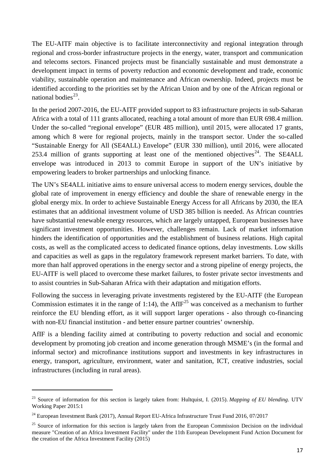The EU-AITF main objective is to facilitate interconnectivity and regional integration through regional and cross-border infrastructure projects in the energy, water, transport and communication and telecoms sectors. Financed projects must be financially sustainable and must demonstrate a development impact in terms of poverty reduction and economic development and trade, economic viability, sustainable operation and maintenance and African ownership. Indeed, projects must be identified according to the priorities set by the African Union and by one of the African regional or national bodies $^{23}$  $^{23}$  $^{23}$ .

In the period 2007-2016, the EU-AITF provided support to 83 infrastructure projects in sub-Saharan Africa with a total of 111 grants allocated, reaching a total amount of more than EUR 698.4 million. Under the so-called "regional envelope" (EUR 485 million), until 2015, were allocated 17 grants, among which 8 were for regional projects, mainly in the transport sector. Under the so-called "Sustainable Energy for All (SE4ALL) Envelope" (EUR 330 million), until 2016, were allocated 253.4 million of grants supporting at least one of the mentioned objectives<sup>24</sup>. The SE4ALL envelope was introduced in 2013 to commit Europe in support of the UN's initiative by empowering leaders to broker partnerships and unlocking finance.

The UN's SE4ALL initiative aims to ensure universal access to modern energy services, double the global rate of improvement in energy efficiency and double the share of renewable energy in the global energy mix. In order to achieve Sustainable Energy Access for all Africans by 2030, the IEA estimates that an additional investment volume of USD 385 billion is needed. As African countries have substantial renewable energy resources, which are largely untapped, European businesses have significant investment opportunities. However, challenges remain. Lack of market information hinders the identification of opportunities and the establishment of business relations. High capital costs, as well as the complicated access to dedicated finance options, delay investments. Low skills and capacities as well as gaps in the regulatory framework represent market barriers. To date, with more than half approved operations in the energy sector and a strong pipeline of energy projects, the EU-AITF is well placed to overcome these market failures, to foster private sector investments and to assist countries in Sub-Saharan Africa with their adaptation and mitigation efforts.

Following the success in leveraging private investments registered by the EU-AITF (the European Commission estimates it in the range of 1:14), the  $AffF<sup>25</sup>$  $AffF<sup>25</sup>$  $AffF<sup>25</sup>$  was conceived as a mechanism to further reinforce the EU blending effort, as it will support larger operations - also through co-financing with non-EU financial institution - and better ensure partner countries' ownership.

AfIF is a blending facility aimed at contributing to poverty reduction and social and economic development by promoting job creation and income generation through MSME's (in the formal and informal sector) and microfinance institutions support and investments in key infrastructures in energy, transport, agriculture, environment, water and sanitation, ICT, creative industries, social infrastructures (including in rural areas).

 $\overline{a}$ 

<span id="page-16-0"></span><sup>&</sup>lt;sup>23</sup> Source of information for this section is largely taken from: Hultquist, I. (2015). *Mapping of EU blending*. UTV Working Paper 2015:1

<span id="page-16-1"></span><sup>&</sup>lt;sup>24</sup> European Investment Bank (2017), Annual Report EU-Africa Infrastructure Trust Fund 2016, 07/2017

<span id="page-16-2"></span> $25$  Source of information for this section is largely taken from the European Commission Decision on the individual measure "Creation of an Africa Investment Facility" under the 11th European Development Fund Action Document for the creation of the Africa Investment Facility (2015)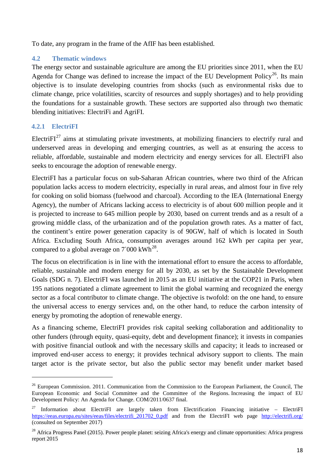To date, any program in the frame of the AfIF has been established.

## **4.2 Thematic windows**

The energy sector and sustainable agriculture are among the EU priorities since 2011, when the EU Agenda for Change was defined to increase the impact of the EU Development Policy<sup>26</sup>. Its main objective is to insulate developing countries from shocks (such as environmental risks due to climate change, price volatilities, scarcity of resources and supply shortages) and to help providing the foundations for a sustainable growth. These sectors are supported also through two thematic blending initiatives: ElectriFi and AgriFI.

## **4.2.1 ElectriFI**

<u>.</u>

Electri $FI^{27}$  $FI^{27}$  $FI^{27}$  aims at stimulating private investments, at mobilizing financiers to electrify rural and underserved areas in developing and emerging countries, as well as at ensuring the access to reliable, affordable, sustainable and modern electricity and energy services for all. ElectriFI also seeks to encourage the adoption of renewable energy.

ElectriFI has a particular focus on sub-Saharan African countries, where two third of the African population lacks access to modern electricity, especially in rural areas, and almost four in five rely for cooking on solid biomass (fuelwood and charcoal). According to the IEA (International Energy Agency), the number of Africans lacking access to electricity is of about 600 million people and it is projected to increase to 645 million people by 2030, based on current trends and as a result of a growing middle class, of the urbanization and of the population growth rates. As a matter of fact, the continent's entire power generation capacity is of 90GW, half of which is located in South Africa. Excluding South Africa, consumption averages around 162 kWh per capita per year, compared to a global average on  $7'000 \text{ kWh}^{28}$  $7'000 \text{ kWh}^{28}$  $7'000 \text{ kWh}^{28}$ .

The focus on electrification is in line with the international effort to ensure the access to affordable, reliable, sustainable and modern energy for all by 2030, as set by the Sustainable Development Goals (SDG n. 7). ElectriFI was launched in 2015 as an EU initiative at the COP21 in Paris, when 195 nations negotiated a climate agreement to limit the global warming and recognized the energy sector as a focal contributor to climate change. The objective is twofold: on the one hand, to ensure the universal access to energy services and, on the other hand, to reduce the carbon intensity of energy by promoting the adoption of renewable energy.

As a financing scheme, ElectriFI provides risk capital seeking collaboration and additionality to other funders (through equity, quasi-equity, debt and development finance); it invests in companies with positive financial outlook and with the necessary skills and capacity; it leads to increased or improved end-user access to energy; it provides technical advisory support to clients. The main target actor is the private sector, but also the public sector may benefit under market based

<span id="page-17-0"></span><sup>&</sup>lt;sup>26</sup> European Commission. 2011. Communication from the Commission to the European Parliament, the Council, The European Economic and Social Committee and the Committee of the Regions. [Increasing the impact of EU](http://www.europarl.europa.eu/RegData/docs_autres_institutions/commission_europeenne/com/2011/0637/COM_COM%282011%290637_EN.pdf)  [Development Policy: An Agenda for Change.](http://www.europarl.europa.eu/RegData/docs_autres_institutions/commission_europeenne/com/2011/0637/COM_COM%282011%290637_EN.pdf) COM/2011/0637 final.

<span id="page-17-1"></span><sup>&</sup>lt;sup>27</sup> Information about ElectriFI are largely taken from Electrification Financing initiative – ElectriFI https://eeas.europa.eu/sites/eeas/files/electrifi\_201<u>702\_0.pdf</u> and from the ElectriFI web page <http://electrifi.org/> (consulted on September 2017)

<span id="page-17-2"></span><sup>&</sup>lt;sup>28</sup> Africa Progress Panel (2015). Power people planet: seizing Africa's energy and climate opportunities: Africa progress report 2015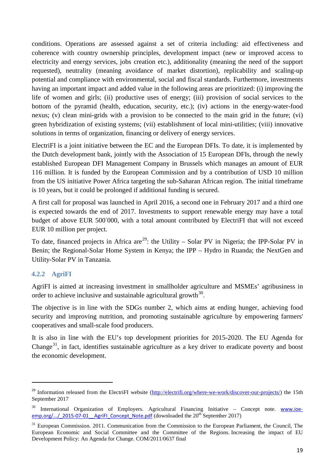conditions. Operations are assessed against a set of criteria including: aid effectiveness and coherence with country ownership principles, development impact (new or improved access to electricity and energy services, jobs creation etc.), additionality (meaning the need of the support requested), neutrality (meaning avoidance of market distortion), replicability and scaling-up potential and compliance with environmental, social and fiscal standards. Furthermore, investments having an important impact and added value in the following areas are prioritized: (i) improving the life of women and girls; (ii) productive uses of energy; (iii) provision of social services to the bottom of the pyramid (health, education, security, etc.); (iv) actions in the energy-water-food nexus; (v) clean mini-grids with a provision to be connected to the main grid in the future; (vi) green hybridization of existing systems; (vii) establishment of local mini-utilities; (viii) innovative solutions in terms of organization, financing or delivery of energy services.

ElectriFI is a joint initiative between the EC and the European DFIs. To date, it is implemented by the Dutch development bank, jointly with the Association of 15 European DFIs, through the newly established European DFI Management Company in Brussels which manages an amount of EUR 116 million. It is funded by the European Commission and by a contribution of USD 10 million from the US initiative Power Africa targeting the sub-Saharan African region. The initial timeframe is 10 years, but it could be prolonged if additional funding is secured.

A first call for proposal was launched in April 2016, a second one in February 2017 and a third one is expected towards the end of 2017. Investments to support renewable energy may have a total budget of above EUR 500˙000, with a total amount contributed by ElectriFI that will not exceed EUR 10 million per project.

To date, financed projects in Africa are<sup>[29](#page-18-0)</sup>: the Utility – Solar PV in Nigeria; the IPP-Solar PV in Benin; the Regional-Solar Home System in Kenya; the IPP – Hydro in Ruanda; the NextGen and Utility-Solar PV in Tanzania.

### **4.2.2 AgriFI**

<u>.</u>

AgriFI is aimed at increasing investment in smallholder agriculture and MSMEs' agribusiness in order to achieve inclusive and sustainable agricultural growth<sup>30</sup>.

The objective is in line with the SDGs number 2, which aims at ending hunger, achieving food security and improving nutrition, and promoting sustainable agriculture by empowering farmers' cooperatives and small-scale food producers.

It is also in line with the EU's top development priorities for 2015-2020. The EU Agenda for Change $31$ , in fact, identifies sustainable agriculture as a key driver to eradicate poverty and boost the economic development.

<span id="page-18-0"></span><sup>&</sup>lt;sup>29</sup> Information released from the ElectriFI website  $(\frac{http://electric.org/where-we-work/discover-our-projects')}{http://electric.org/where-we-work/discover-our-projects')}$  the 15th September 2017

<span id="page-18-1"></span>International Organization of Employers. Agricultural Financing Initiative – Concept note. www.ioeemp.org/.../\_2015-07-01\_AgriFI\_Concept\_Note.pdf (downloaded the  $20^{th}$  September 2017)

<span id="page-18-2"></span><sup>&</sup>lt;sup>31</sup> European Commission. 2011. Communication from the Commission to the European Parliament, the Council, The European Economic and Social Committee and the Committee of the Regions. [Increasing the impact of EU](http://www.europarl.europa.eu/RegData/docs_autres_institutions/commission_europeenne/com/2011/0637/COM_COM%282011%290637_EN.pdf)  [Development Policy: An Agenda for Change.](http://www.europarl.europa.eu/RegData/docs_autres_institutions/commission_europeenne/com/2011/0637/COM_COM%282011%290637_EN.pdf) COM/2011/0637 final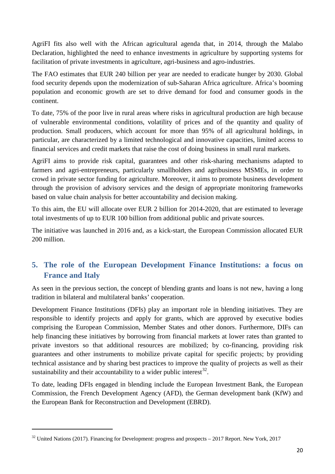AgriFI fits also well with the African agricultural agenda that, in 2014, through the Malabo Declaration, highlighted the need to enhance investments in agriculture by supporting systems for facilitation of private investments in agriculture, agri-business and agro-industries.

The FAO estimates that EUR 240 billion per year are needed to eradicate hunger by 2030. Global food security depends upon the modernization of sub-Saharan Africa agriculture. Africa's booming population and economic growth are set to drive demand for food and consumer goods in the continent.

To date, 75% of the poor live in rural areas where risks in agricultural production are high because of vulnerable environmental conditions, volatility of prices and of the quantity and quality of production. Small producers, which account for more than 95% of all agricultural holdings, in particular, are characterized by a limited technological and innovative capacities, limited access to financial services and credit markets that raise the cost of doing business in small rural markets.

AgriFI aims to provide risk capital, guarantees and other risk-sharing mechanisms adapted to farmers and agri-entrepreneurs, particularly smallholders and agribusiness MSMEs, in order to crowd in private sector funding for agriculture. Moreover, it aims to promote business development through the provision of advisory services and the design of appropriate monitoring frameworks based on value chain analysis for better accountability and decision making.

To this aim, the EU will allocate over EUR 2 billion for 2014-2020, that are estimated to leverage total investments of up to EUR 100 billion from additional public and private sources.

The initiative was launched in 2016 and, as a kick-start, the European Commission allocated EUR 200 million.

## **5. The role of the European Development Finance Institutions: a focus on France and Italy**

As seen in the previous section, the concept of blending grants and loans is not new, having a long tradition in bilateral and multilateral banks' cooperation.

Development Finance Institutions (DFIs) play an important role in blending initiatives. They are responsible to identify projects and apply for grants, which are approved by executive bodies comprising the European Commission, Member States and other donors. Furthermore, DIFs can help financing these initiatives by borrowing from financial markets at lower rates than granted to private investors so that additional resources are mobilized; by co-financing, providing risk guarantees and other instruments to mobilize private capital for specific projects; by providing technical assistance and by sharing best practices to improve the quality of projects as well as their sustainability and their accountability to a wider public interest  $32$ .

To date, leading DFIs engaged in blending include the European Investment Bank, the European Commission, the French Development Agency (AFD), the German development bank (KfW) and the European Bank for Reconstruction and Development (EBRD).

**.** 

<span id="page-19-0"></span> $32$  United Nations (2017). Financing for Development: progress and prospects – 2017 Report. New York, 2017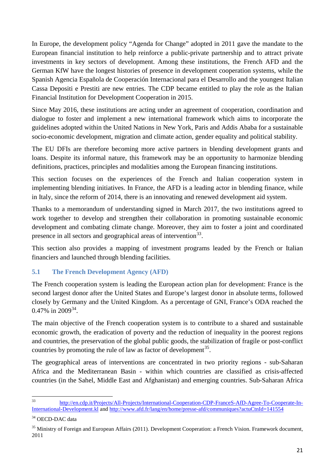In Europe, the development policy "Agenda for Change" adopted in 2011 gave the mandate to the European financial institution to help reinforce a public-private partnership and to attract private investments in key sectors of development. Among these institutions, the French AFD and the German KfW have the longest histories of presence in development cooperation systems, while the Spanish Agencia Española de Cooperación Internacional para el Desarrollo and the youngest Italian Cassa Depositi e Prestiti are new entries. The CDP became entitled to play the role as the Italian Financial Institution for Development Cooperation in 2015.

Since May 2016, these institutions are acting under an agreement of cooperation, coordination and dialogue to foster and implement a new international framework which aims to incorporate the guidelines adopted within the United Nations in New York, Paris and Addis Ababa for a sustainable socio-economic development, migration and climate action, gender equality and political stability.

The EU DFIs are therefore becoming more active partners in blending development grants and loans. Despite its informal nature, this framework may be an opportunity to harmonize blending definitions, practices, principles and modalities among the European financing institutions.

This section focuses on the experiences of the French and Italian cooperation system in implementing blending initiatives. In France, the AFD is a leading actor in blending finance, while in Italy, since the reform of 2014, there is an innovating and renewed development aid system.

Thanks to a memorandum of understanding signed in March 2017, the two institutions agreed to work together to develop and strengthen their collaboration in promoting sustainable economic development and combating climate change. Moreover, they aim to foster a joint and coordinated presence in all sectors and geographical areas of intervention<sup>33</sup>.

This section also provides a mapping of investment programs leaded by the French or Italian financiers and launched through blending facilities.

## **5.1 The French Development Agency (AFD)**

The French cooperation system is leading the European action plan for development: France is the second largest donor after the United States and Europe's largest donor in absolute terms, followed closely by Germany and the United Kingdom. As a percentage of GNI, France's ODA reached the  $0.47\%$  in  $2009^{34}$ .

The main objective of the French cooperation system is to contribute to a shared and sustainable economic growth, the eradication of poverty and the reduction of inequality in the poorest regions and countries, the preservation of the global public goods, the stabilization of fragile or post-conflict countries by promoting the rule of law as factor of development<sup>35</sup>.

The geographical areas of interventions are concentrated in two priority regions - sub-Saharan Africa and the Mediterranean Basin - within which countries are classified as crisis-affected countries (in the Sahel, Middle East and Afghanistan) and emerging countries. Sub-Saharan Africa

<span id="page-20-0"></span><sup>33</sup> [http://en.cdp.it/Projects/All-Projects/International-Cooperation-CDP-FranceS-AfD-Agree-To-Cooperate-In-](http://en.cdp.it/Projects/All-Projects/International-Cooperation-CDP-FranceS-AfD-Agree-To-Cooperate-In-International-Development.kl)[International-Development.kl](http://en.cdp.it/Projects/All-Projects/International-Cooperation-CDP-FranceS-AfD-Agree-To-Cooperate-In-International-Development.kl) an[d http://www.afd.fr/lang/en/home/presse-afd/communiques?actuCtnId=141554](http://www.afd.fr/lang/en/home/presse-afd/communiques?actuCtnId=141554)

<span id="page-20-1"></span><sup>&</sup>lt;sup>34</sup> OECD-DAC data

<span id="page-20-2"></span><sup>&</sup>lt;sup>35</sup> Ministry of Foreign and European Affairs (2011). Development Cooperation: a French Vision. Framework document, 2011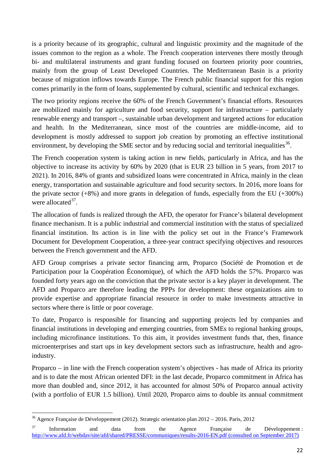is a priority because of its geographic, cultural and linguistic proximity and the magnitude of the issues common to the region as a whole. The French cooperation intervenes there mostly through bi- and multilateral instruments and grant funding focused on fourteen priority poor countries, mainly from the group of Least Developed Countries. The Mediterranean Basin is a priority because of migration inflows towards Europe. The French public financial support for this region comes primarily in the form of loans, supplemented by cultural, scientific and technical exchanges.

The two priority regions receive the 60% of the French Government's financial efforts. Resources are mobilized mainly for agriculture and food security, support for infrastructure – particularly renewable energy and transport –, sustainable urban development and targeted actions for education and health. In the Mediterranean, since most of the countries are middle-income, aid to development is mostly addressed to support job creation by promoting an effective institutional environment, by developing the SME sector and by reducing social and territorial inequalities<sup>36</sup>.

The French cooperation system is taking action in new fields, particularly in Africa, and has the objective to increase its activity by 60% by 2020 (that is EUR 23 billion in 5 years, from 2017 to 2021). In 2016, 84% of grants and subsidized loans were concentrated in Africa, mainly in the clean energy, transportation and sustainable agriculture and food security sectors. In 2016, more loans for the private sector  $(+8\%)$  and more grants in delegation of funds, especially from the EU  $(+300\%)$ were allocated $37$ .

The allocation of funds is realized through the AFD, the operator for France's bilateral development finance mechanism. It is a public industrial and commercial institution with the status of specialized financial institution. Its action is in line with the policy set out in the France's Framework Document for Development Cooperation, a three-year contract specifying objectives and resources between the French government and the AFD.

AFD Group comprises a private sector financing arm, Proparco (Société de Promotion et de Participation pour la Coopération Économique), of which the AFD holds the 57%. Proparco was founded forty years ago on the conviction that the private sector is a key player in development. The AFD and Proparco are therefore leading the PPPs for development: these organizations aim to provide expertise and appropriate financial resource in order to make investments attractive in sectors where there is little or poor coverage.

To date, Proparco is responsible for financing and supporting projects led by companies and financial institutions in developing and emerging countries, from SMEs to regional banking groups, including microfinance institutions. To this aim, it provides investment funds that, then, finance microenterprises and start ups in key development sectors such as infrastructure, health and agroindustry.

Proparco – in line with the French cooperation system's objectives - has made of Africa its priority and is to date the most African oriented DFI: in the last decade, Proparco commitment in Africa has more than doubled and, since 2012, it has accounted for almost 50% of Proparco annual activity (with a portfolio of EUR 1.5 billion). Until 2020, Proparco aims to double its annual commitment

<span id="page-21-0"></span><sup>36</sup> Agence Française de Développement (2012). Strategic orientation plan 2012 – 2016. Paris, 2012

<span id="page-21-1"></span> $37$  Information and data from the Agence Française de Développement : <http://www.afd.fr/webdav/site/afd/shared/PRESSE/communiques/results-2016-EN.pdf> (consulted on September 2017)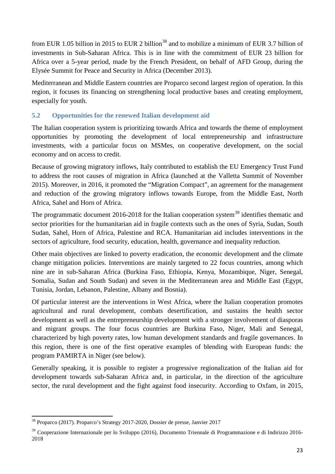from EUR 1.05 billion in 2015 to EUR 2 billion<sup>[38](#page-22-0)</sup> and to mobilize a minimum of EUR 3.7 billion of investments in Sub-Saharan Africa. This is in line with the commitment of EUR 23 billion for Africa over a 5-year period, made by the French President, on behalf of AFD Group, during the Elysée Summit for Peace and Security in Africa (December 2013).

Mediterranean and Middle Eastern countries are Proparco second largest region of operation. In this region, it focuses its financing on strengthening local productive bases and creating employment, especially for youth.

## **5.2 Opportunities for the renewed Italian development aid**

The Italian cooperation system is prioritizing towards Africa and towards the theme of employment opportunities by promoting the development of local entrepreneurship and infrastructure investments, with a particular focus on MSMes, on cooperative development, on the social economy and on access to credit.

Because of growing migratory inflows, Italy contributed to establish the EU Emergency Trust Fund to address the root causes of migration in Africa (launched at the Valletta Summit of November 2015). Moreover, in 2016, it promoted the "Migration Compact", an agreement for the management and reduction of the growing migratory inflows towards Europe, from the Middle East, North Africa, Sahel and Horn of Africa.

The programmatic document 2016-2018 for the Italian cooperation system<sup>[39](#page-22-1)</sup> identifies thematic and sector priorities for the humanitarian aid in fragile contexts such as the ones of Syria, Sudan, South Sudan, Sahel, Horn of Africa, Palestine and RCA. Humanitarian aid includes interventions in the sectors of agriculture, food security, education, health, governance and inequality reduction.

Other main objectives are linked to poverty eradication, the economic development and the climate change mitigation policies. Interventions are mainly targeted to 22 focus countries, among which nine are in sub-Saharan Africa (Burkina Faso, Ethiopia, Kenya, Mozambique, Niger, Senegal, Somalia, Sudan and South Sudan) and seven in the Mediterranean area and Middle East (Egypt, Tunisia, Jordan, Lebanon, Palestine, Albany and Bosnia).

Of particular interest are the interventions in West Africa, where the Italian cooperation promotes agricultural and rural development, combats desertification, and sustains the health sector development as well as the entrepreneurship development with a stronger involvement of diasporas and migrant groups. The four focus countries are Burkina Faso, Niger, Mali and Senegal, characterized by high poverty rates, low human development standards and fragile governances. In this region, there is one of the first operative examples of blending with European funds: the program PAMIRTA in Niger (see below).

Generally speaking, it is possible to register a progressive regionalization of the Italian aid for development towards sub-Saharan Africa and, in particular, in the direction of the agriculture sector, the rural development and the fight against food insecurity. According to Oxfam, in 2015,

<span id="page-22-0"></span><sup>38</sup> Proparco (2017). Proparco's Strategy 2017-2020, Dossier de presse, Janvier 2017

<span id="page-22-1"></span><sup>39</sup> Cooperazione Internazionale per lo Sviluppo (2016), Documento Triennale di Programmazione e di Indirizzo 2016- 2018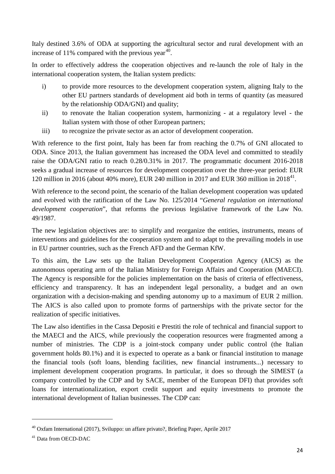Italy destined 3.6% of ODA at supporting the agricultural sector and rural development with an increase of 11% compared with the previous year<sup>40</sup>.

In order to effectively address the cooperation objectives and re-launch the role of Italy in the international cooperation system, the Italian system predicts:

- i) to provide more resources to the development cooperation system, aligning Italy to the other EU partners standards of development aid both in terms of quantity (as measured by the relationship ODA/GNI) and quality;
- ii) to renovate the Italian cooperation system, harmonizing at a regulatory level the Italian system with those of other European partners;
- iii) to recognize the private sector as an actor of development cooperation.

With reference to the first point, Italy has been far from reaching the 0.7% of GNI allocated to ODA. Since 2013, the Italian government has increased the ODA level and committed to steadily raise the ODA/GNI ratio to reach 0.28/0.31% in 2017. The programmatic document 2016-2018 seeks a gradual increase of resources for development cooperation over the three-year period: EUR 120 million in 2016 (about 40% more), EUR 240 million in 2017 and EUR 360 million in  $2018<sup>41</sup>$ .

With reference to the second point, the scenario of the Italian development cooperation was updated and evolved with the ratification of the Law No. 125/2014 "*General regulation on international development cooperation*", that reforms the previous legislative framework of the Law No. 49/1987.

The new legislation objectives are: to simplify and reorganize the entities, instruments, means of interventions and guidelines for the cooperation system and to adapt to the prevailing models in use in EU partner countries, such as the French AFD and the German KfW.

To this aim, the Law sets up the Italian Development Cooperation Agency (AICS) as the autonomous operating arm of the Italian Ministry for Foreign Affairs and Cooperation (MAECI). The Agency is responsible for the policies implementation on the basis of criteria of effectiveness, efficiency and transparency. It has an independent legal personality, a budget and an own organization with a decision-making and spending autonomy up to a maximum of EUR 2 million. The AICS is also called upon to promote forms of partnerships with the private sector for the realization of specific initiatives.

The Law also identifies in the Cassa Depositi e Prestiti the role of technical and financial support to the MAECI and the AICS, while previously the cooperation resources were fragmented among a number of ministries. The CDP is a joint-stock company under public control (the Italian government holds 80.1%) and it is expected to operate as a bank or financial institution to manage the financial tools (soft loans, blending facilities, new financial instruments...) necessary to implement development cooperation programs. In particular, it does so through the SIMEST (a company controlled by the CDP and by SACE, member of the European DFI) that provides soft loans for internationalization, export credit support and equity investments to promote the international development of Italian businesses. The CDP can:

<u>.</u>

<span id="page-23-0"></span><sup>40</sup> Oxfam International (2017), Sviluppo: un affare privato?, Briefing Paper, Aprile 2017

<span id="page-23-1"></span><sup>41</sup> Data from OECD-DAC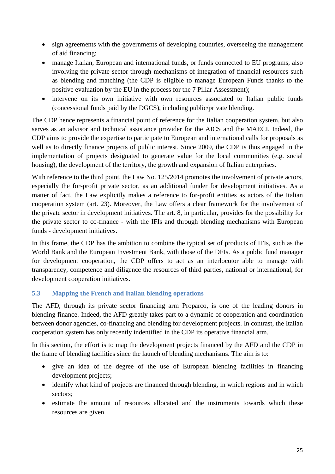- sign agreements with the governments of developing countries, overseeing the management of aid financing;
- manage Italian, European and international funds, or funds connected to EU programs, also involving the private sector through mechanisms of integration of financial resources such as blending and matching (the CDP is eligible to manage European Funds thanks to the positive evaluation by the EU in the process for the 7 Pillar Assessment);
- intervene on its own initiative with own resources associated to Italian public funds (concessional funds paid by the DGCS), including public/private blending.

The CDP hence represents a financial point of reference for the Italian cooperation system, but also serves as an advisor and technical assistance provider for the AICS and the MAECI. Indeed, the CDP aims to provide the expertise to participate to European and international calls for proposals as well as to directly finance projects of public interest. Since 2009, the CDP is thus engaged in the implementation of projects designated to generate value for the local communities (e.g. social housing), the development of the territory, the growth and expansion of Italian enterprises.

With reference to the third point, the Law No. 125/2014 promotes the involvement of private actors, especially the for-profit private sector, as an additional funder for development initiatives. As a matter of fact, the Law explicitly makes a reference to for-profit entities as actors of the Italian cooperation system (art. 23). Moreover, the Law offers a clear framework for the involvement of the private sector in development initiatives. The art. 8, in particular, provides for the possibility for the private sector to co-finance - with the IFIs and through blending mechanisms with European funds - development initiatives.

In this frame, the CDP has the ambition to combine the typical set of products of IFIs, such as the World Bank and the European Investment Bank, with those of the DFIs. As a public fund manager for development cooperation, the CDP offers to act as an interlocutor able to manage with transparency, competence and diligence the resources of third parties, national or international, for development cooperation initiatives.

## **5.3 Mapping the French and Italian blending operations**

The AFD, through its private sector financing arm Proparco, is one of the leading donors in blending finance. Indeed, the AFD greatly takes part to a dynamic of cooperation and coordination between donor agencies, co-financing and blending for development projects. In contrast, the Italian cooperation system has only recently indentified in the CDP its operative financial arm.

In this section, the effort is to map the development projects financed by the AFD and the CDP in the frame of blending facilities since the launch of blending mechanisms. The aim is to:

- give an idea of the degree of the use of European blending facilities in financing development projects;
- identify what kind of projects are financed through blending, in which regions and in which sectors;
- estimate the amount of resources allocated and the instruments towards which these resources are given.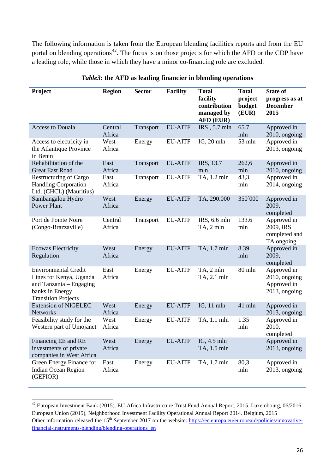The following information is taken from the European blending facilities reports and from the EU portal on blending operations<sup>[42](#page-25-0)</sup>. The focus is on those projects for which the AFD or the CDP have a leading role, while those in which they have a minor co-financing role are excluded.

| Project                                                                                                                            | <b>Region</b>     | <b>Sector</b> | <b>Facility</b> | <b>Total</b><br>facility<br>contribution<br>managed by<br><b>AFD (EUR)</b> | <b>Total</b><br>project<br>budget<br>(EUR) | <b>State of</b><br>progress as at<br><b>December</b><br>2015 |
|------------------------------------------------------------------------------------------------------------------------------------|-------------------|---------------|-----------------|----------------------------------------------------------------------------|--------------------------------------------|--------------------------------------------------------------|
| <b>Access to Douala</b>                                                                                                            | Central<br>Africa | Transport     | <b>EU-AITF</b>  | IRS, 5.7 mln                                                               | 65.7<br>mln                                | Approved in<br>2010, ongoing                                 |
| Access to electricity in<br>the Atlantique Province<br>in Benin                                                                    | West<br>Africa    | Energy        | <b>EU-AITF</b>  | $IG, 20$ mln                                                               | 53 mln                                     | Approved in<br>2013, ongoing                                 |
| Rehabilitation of the<br><b>Great East Road</b>                                                                                    | East<br>Africa    | Transport     | <b>EU-AITF</b>  | IRS, 13.7<br>mln                                                           | 262,6<br>mln                               | Approved in<br>2010, ongoing                                 |
| <b>Restructuring of Cargo</b><br><b>Handling Corporation</b><br>Ltd. (CHCL) (Mauritius)                                            | East<br>Africa    | Transport     | <b>EU-AITF</b>  | TA, 1.2 mln                                                                | 43,3<br>mln                                | Approved in<br>2014, ongoing                                 |
| Sambangalou Hydro<br><b>Power Plant</b>                                                                                            | West<br>Africa    | Energy        | <b>EU-AITF</b>  | TA, 290.000                                                                | 350'000                                    | Approved in<br>2009,<br>completed                            |
| Port de Pointe Noire<br>(Congo-Brazzaville)                                                                                        | Central<br>Africa | Transport     | <b>EU-AITF</b>  | IRS, 6.6 mln<br>TA, 2 mln                                                  | 133.6<br>mln                               | Approved in<br>2009, IRS<br>completed and<br>TA ongoing      |
| <b>Ecowas Electricity</b><br>Regulation                                                                                            | West<br>Africa    | Energy        | <b>EU-AITF</b>  | TA, 1.7 mln                                                                | 8.39<br>mln                                | Approved in<br>2009,<br>completed                            |
| <b>Environmental Credit</b><br>Lines for Kenya, Uganda<br>and Tanzania - Engaging<br>banks in Energy<br><b>Transition Projects</b> | East<br>Africa    | Energy        | <b>EU-AITF</b>  | TA, 2 mln<br>TA, 2.1 mln                                                   | 80 mln                                     | Approved in<br>2010, ongoing<br>Approved in<br>2013, ongoing |
| <b>Extension of NIGELEC</b><br><b>Networks</b>                                                                                     | West<br>Africa    | Energy        | <b>EU-AITF</b>  | $IG, 11$ mln                                                               | 41 mln                                     | Approved in<br>2013, ongoing                                 |
| Feasibility study for the<br>Western part of Umojanet                                                                              | West<br>Africa    | Energy        | <b>EU-AITF</b>  | TA, 1.1 mln                                                                | 1.35<br>mln                                | Approved in<br>2010,<br>completed                            |
| Financing EE and RE<br>investments of private<br>companies in West Africa                                                          | West<br>Africa    | Energy        | <b>EU-AITF</b>  | IG, 4.5 mln<br>TA, 1.5 mln                                                 |                                            | Approved in<br>$2013$ , ongoing                              |
| Green Energy Finance for<br>Indian Ocean Region<br>(GEFIOR)                                                                        | East<br>Africa    | Energy        | <b>EU-AITF</b>  | TA, 1.7 mln                                                                | 80,3<br>mln                                | Approved in<br>2013, ongoing                                 |

#### *Table3***: the AFD as leading financier in blending operations**

**.** 

<span id="page-25-0"></span> $^{42}$  European Investment Bank (2015). EU-Africa Infrastructure Trust Fund Annual Report, 2015. Luxembourg, 06/2016 European Union (2015), Neighborhood Investment Facility Operational Annual Report 2014. Belgium, 2015 Other information released the 15<sup>th</sup> September 2017 on the website: [https://ec.europa.eu/europeaid/policies/innovative](https://ec.europa.eu/europeaid/policies/innovative-financial-instruments-blending/blending-operations_en)[financial-instruments-blending/blending-operations\\_en](https://ec.europa.eu/europeaid/policies/innovative-financial-instruments-blending/blending-operations_en)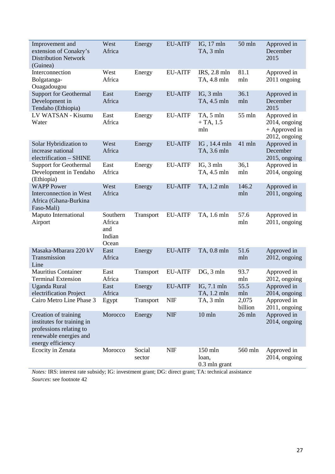| Improvement and<br>extension of Conakry's<br><b>Distribution Network</b><br>(Guinea)                                         | West<br>Africa                               | Energy           | <b>EU-AITF</b> | IG, 17 mln<br>TA, 3 mln           | 50 mln           | Approved in<br>December<br>2015                                |
|------------------------------------------------------------------------------------------------------------------------------|----------------------------------------------|------------------|----------------|-----------------------------------|------------------|----------------------------------------------------------------|
| Interconnection<br>Bolgatanga-<br>Ouagadougou                                                                                | West<br>Africa                               | Energy           | <b>EU-AITF</b> | IRS, 2.8 mln<br>TA, 4.8 mln       | 81.1<br>mln      | Approved in<br>2011 ongoing                                    |
| <b>Support for Geothermal</b><br>Development in<br>Tendaho (Ethiopia)                                                        | East<br>Africa                               | Energy           | <b>EU-AITF</b> | IG, 3 mln<br>TA, 4.5 mln          | 36.1<br>mln      | Approved in<br>December<br>2015                                |
| LV WATSAN - Kisumu<br>Water                                                                                                  | East<br>Africa                               | Energy           | <b>EU-AITF</b> | TA, 5 mln<br>$+ TA, 1.5$<br>mln   | 55 mln           | Approved in<br>2014, ongoing<br>+ Approved in<br>2012, ongoing |
| Solar Hybridization to<br>increase national<br>electrification - SHINE                                                       | West<br>Africa                               | Energy           | <b>EU-AITF</b> | IG, 14.4 mln<br>TA, 3.6 mln       | 41 mln           | Approved in<br>December<br>2015, ongoing                       |
| <b>Support for Geothermal</b><br>Development in Tendaho<br>(Ethiopia)                                                        | East<br>Africa                               | Energy           | <b>EU-AITF</b> | $IG$ , $3$ mln<br>TA, 4.5 mln     | 36,1<br>mln      | Approved in<br>2014, ongoing                                   |
| <b>WAPP Power</b><br>Interconnection in West<br>Africa (Ghana-Burkina<br>Faso-Mali)                                          | West<br>Africa                               | Energy           | <b>EU-AITF</b> | TA, 1.2 mln                       | 146.2<br>mln     | Approved in<br>2011, ongoing                                   |
| Maputo International<br>Airport                                                                                              | Southern<br>Africa<br>and<br>Indian<br>Ocean | Transport        | <b>EU-AITF</b> | TA, 1.6 mln                       | 57.6<br>mln      | Approved in<br>2011, ongoing                                   |
| Masaka-Mbarara 220 kV<br>Transmission<br>Line                                                                                | East<br>Africa                               | Energy           | <b>EU-AITF</b> | TA, 0.8 mln                       | 51.6<br>mln      | Approved in<br>2012, ongoing                                   |
| <b>Mauritius Container</b><br><b>Terminal Extension</b>                                                                      | East<br>Africa                               | Transport        | <b>EU-AITF</b> | DG, 3 mln                         | 93.7<br>mln      | Approved in<br>2012, ongoing                                   |
| <b>Uganda Rural</b><br>electrification Project                                                                               | East<br>Africa                               | Energy           | <b>EU-AITF</b> | IG, 7.1 mln<br>TA, 1.2 mln        | 55.5<br>mln      | Approved in<br>2014, ongoing                                   |
| Cairo Metro Line Phase 3                                                                                                     | Egypt                                        | Transport        | <b>NIF</b>     | TA, 3 mln                         | 2,075<br>billion | Approved in<br>2011, ongoing                                   |
| Creation of training<br>institutes for training in<br>professions relating to<br>renewable energies and<br>energy efficiency | Morocco                                      | Energy           | <b>NIF</b>     | $10$ mln                          | 26 mln           | Approved in<br>2014, ongoing                                   |
| Ecocity in Zenata                                                                                                            | Morocco                                      | Social<br>sector | <b>NIF</b>     | 150 mln<br>loan,<br>0.3 mln grant | 560 mln          | Approved in<br>2014, ongoing                                   |

*Notes:* IRS: interest rate subsidy; IG: investment grant; DG: direct grant; TA: technical assistance *Sources*: see footnote 42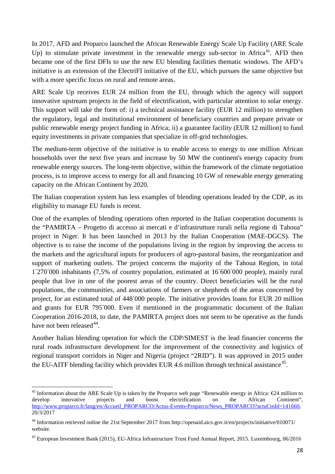In 2017, AFD and Proparco launched the African Renewable Energy Scale Up Facility (ARE Scale Up) to stimulate private investment in the renewable energy sub-sector in Africa<sup>[43](#page-27-0)</sup>. AFD then became one of the first DFIs to use the new EU blending facilities thematic windows. The AFD's initiative is an extension of the ElectriFI initiative of the EU, which pursues the same objective but with a more specific focus on rural and remote areas.

ARE Scale Up receives EUR 24 million from the EU, through which the agency will support innovative upstream projects in the field of electrification, with particular attention to solar energy. This support will take the form of: i) a technical assistance facility (EUR 12 million) to strengthen the regulatory, legal and institutional environment of beneficiary countries and prepare private or public renewable energy project funding in Africa; ii) a guarantee facility (EUR 12 million) to fund equity investments in private companies that specialize in off-grid technologies.

The medium-term objective of the initiative is to enable access to energy to one million African households over the next five years and increase by 50 MW the continent's energy capacity from renewable energy sources. The long-term objective, within the framework of the climate negotiation process, is to improve access to energy for all and financing 10 GW of renewable energy generating capacity on the African Continent by 2020.

The Italian cooperation system has less examples of blending operations leaded by the CDP, as its eligibility to manage EU funds is recent.

One of the examples of blending operations often reported in the Italian cooperation documents is the "PAMIRTA – Progetto di accesso ai mercati e d'infrastrutture rurali nella regione di Tahoua" project in Niger. It has been launched in 2013 by the Italian Cooperation (MAE-DGCS). The objective is to raise the income of the populations living in the region by improving the access to the markets and the agricultural inputs for producers of agro-pastoral basins, the reorganization and support of marketing outlets. The project concerns the majority of the Tahoua Region, in total 1˙270˙000 inhabitants (7,5% of country population, estimated at 16˙600˙000 people), mainly rural people that live in one of the poorest areas of the country. Direct beneficiaries will be the rural populations, the communities, and associations of farmers or shepherds of the areas concerned by project, for an estimated total of 448˙000 people. The initiative provides loans for EUR 20 million and grants for EUR 795˙000. Even if mentioned in the programmatic document of the Italian Cooperation 2016-2018, to date, the PAMIRTA project does not seem to be operative as the funds have not been released  $44$ .

Another Italian blending operation for which the CDP/SIMEST is the lead financier concerns the rural roads infrastructure development for the improvement of the connectivity and logistics of regional transport corridors in Niger and Nigeria (project "2RID"). It was approved in 2015 under the EU-AITF blending facility which provides EUR 4.6 million through technical assistance<sup>45</sup>.

<span id="page-27-0"></span> $43$  Information about the ARE Scale Up is taken by the Proparco web page "Renewable energy in Africa:  $E$ 4 million to develop innovative projects and boost electrification on the African Continent", http://www.proparco.fr/lang/en/Accueil\_PROPARCO/Actus-Events-Proparco/News\_PROPARCO?actuCtnId=141660, 20/3/2017

<span id="page-27-1"></span><sup>44</sup> Information retrieved online the 21st September 2017 from<http://openaid.aics.gov.it/en/projects/initiative/010071/> website.

<span id="page-27-2"></span><sup>&</sup>lt;sup>45</sup> European Investment Bank (2015), EU-Africa Infrastructure Trust Fund Annual Report, 2015. Luxembourg, 06/2016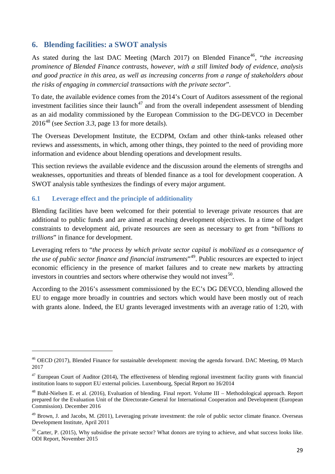## **6. Blending facilities: a SWOT analysis**

As stated during the last DAC Meeting (March 2017) on Blended Finance<sup>[46](#page-28-0)</sup>, "*the increasing prominence of Blended Finance contrasts, however, with a still limited body of evidence, analysis and good practice in this area, as well as increasing concerns from a range of stakeholders about the risks of engaging in commercial transactions with the private sector*".

To date, the available evidence comes from the 2014's Court of Auditors assessment of the regional investment facilities since their launch<sup>[47](#page-28-1)</sup> and from the overall independent assessment of blending as an aid modality commissioned by the European Commission to the DG-DEVCO in December  $2016^{48}$  $2016^{48}$  $2016^{48}$  (see *Section 3.3*, page 13 for more details).

The Overseas Development Institute, the ECDPM, Oxfam and other think-tanks released other reviews and assessments, in which, among other things, they pointed to the need of providing more information and evidence about blending operations and development results.

This section reviews the available evidence and the discussion around the elements of strengths and weaknesses, opportunities and threats of blended finance as a tool for development cooperation. A SWOT analysis table synthesizes the findings of every major argument.

#### **6.1 Leverage effect and the principle of additionality**

**.** 

Blending facilities have been welcomed for their potential to leverage private resources that are additional to public funds and are aimed at reaching development objectives. In a time of budget constraints to development aid, private resources are seen as necessary to get from "*billions to trillions*" in finance for development.

Leveraging refers to "*the process by which private sector capital is mobilized as a consequence of the use of public sector finance and financial instruments*"[49](#page-28-3). Public resources are expected to inject economic efficiency in the presence of market failures and to create new markets by attracting investors in countries and sectors where otherwise they would not invest<sup>[50](#page-28-4)</sup>.

According to the 2016's assessment commissioned by the EC's DG DEVCO, blending allowed the EU to engage more broadly in countries and sectors which would have been mostly out of reach with grants alone. Indeed, the EU grants leveraged investments with an average ratio of 1:20, with

<span id="page-28-0"></span><sup>46</sup> OECD (2017), Blended Finance for sustainable development: moving the agenda forward. DAC Meeting, 09 March 2017

<span id="page-28-1"></span> $47$  European Court of Auditor (2014), The effectiveness of blending regional investment facility grants with financial institution loans to support EU external policies. Luxembourg, Special Report no 16/2014

<span id="page-28-2"></span><sup>&</sup>lt;sup>48</sup> Buhl-Nielsen E. et al. (2016), Evaluation of blending. Final report. Volume III – Methodological approach. Report prepared for the Evaluation Unit of the Directorate-General for International Cooperation and Development (European Commission). December 2016

<span id="page-28-3"></span> $^{49}$  Brown, J. and Jacobs, M. (2011), Leveraging private investment: the role of public sector climate finance. Overseas Development Institute, April 2011

<span id="page-28-4"></span> $50$  Carter, P. (2015), Why subsidise the private sector? What donors are trying to achieve, and what success looks like. ODI Report, November 2015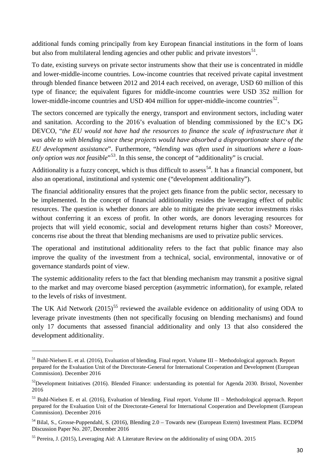additional funds coming principally from key European financial institutions in the form of loans but also from multilateral lending agencies and other public and private investors $^{51}$ .

To date, existing surveys on private sector instruments show that their use is concentrated in middle and lower-middle-income countries. Low-income countries that received private capital investment through blended finance between 2012 and 2014 each received, on average, USD 60 million of this type of finance; the equivalent figures for middle-income countries were USD 352 million for lower-middle-income countries and USD 404 million for upper-middle-income countries<sup>[52](#page-29-1)</sup>.

The sectors concerned are typically the energy, transport and environment sectors, including water and sanitation. According to the 2016's evaluation of blending commissioned by the EC's DG DEVCO, "the EU would not have had the resources to finance the scale of infrastructure that it *was able to with blending since these projects would have absorbed a disproportionate share of the EU development assistance*". Furthermore, "*blending was often used in situations where a loanonly option was not feasible*"<sup>[53](#page-29-2)</sup>. In this sense, the concept of "additionality" is crucial.

Additionality is a fuzzy concept, which is thus difficult to assess<sup>54</sup>. It has a financial component, but also an operational, institutional and systemic one ("development additionality").

The financial additionality ensures that the project gets finance from the public sector, necessary to be implemented. In the concept of financial additionality resides the leveraging effect of public resources. The question is whether donors are able to mitigate the private sector investments risks without conferring it an excess of profit. In other words, are donors leveraging resources for projects that will yield economic, social and development returns higher than costs? Moreover, concerns rise about the threat that blending mechanisms are used to privatize public services.

The operational and institutional additionality refers to the fact that public finance may also improve the quality of the investment from a technical, social, environmental, innovative or of governance standards point of view.

The systemic additionality refers to the fact that blending mechanism may transmit a positive signal to the market and may overcome biased perception (asymmetric information), for example, related to the levels of risks of investment.

The UK Aid Network  $(2015)^{55}$  $(2015)^{55}$  $(2015)^{55}$  reviewed the available evidence on additionality of using ODA to leverage private investments (then not specifically focusing on blending mechanisms) and found only 17 documents that assessed financial additionality and only 13 that also considered the development additionality.

**.** 

<span id="page-29-0"></span><sup>&</sup>lt;sup>51</sup> Buhl-Nielsen E. et al. (2016), Evaluation of blending. Final report. Volume III – Methodological approach. Report prepared for the Evaluation Unit of the Directorate-General for International Cooperation and Development (European Commission). December 2016

<span id="page-29-1"></span><sup>&</sup>lt;sup>52</sup>Development Initiatives (2016). Blended Finance: understanding its potential for Agenda 2030. Bristol, November 2016

<span id="page-29-2"></span><sup>&</sup>lt;sup>53</sup> Buhl-Nielsen E. et al. (2016), Evaluation of blending. Final report. Volume III – Methodological approach. Report prepared for the Evaluation Unit of the Directorate-General for International Cooperation and Development (European Commission). December 2016

<span id="page-29-3"></span> $<sup>54</sup>$  Bilal, S., Grosse-Puppendahl, S. (2016), Blending 2.0 – Towards new (European Extern) Investment Plans. ECDPM</sup> Discussion Paper No. 207, December 2016

<span id="page-29-4"></span><sup>55</sup> Pereira, J. (2015), Leveraging Aid: A Literature Review on the additionality of using ODA. 2015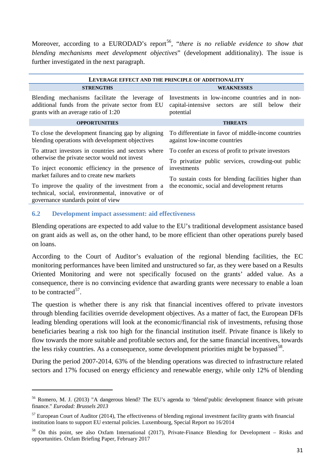Moreover, according to a EURODAD's report<sup>[56](#page-30-0)</sup>, "*there is no reliable evidence to show that blending mechanisms meet development objectives*" (development additionality). The issue is further investigated in the next paragraph.

| <b>LEVERAGE EFFECT AND THE PRINCIPLE OF ADDITIONALITY</b>                                                                                  |                                                                                                                    |  |  |
|--------------------------------------------------------------------------------------------------------------------------------------------|--------------------------------------------------------------------------------------------------------------------|--|--|
| <b>STRENGTHS</b>                                                                                                                           | <b>WEAKNESSES</b>                                                                                                  |  |  |
| Blending mechanisms facilitate the leverage of<br>additional funds from the private sector from EU<br>grants with an average ratio of 1:20 | Investments in low-income countries and in non-<br>capital-intensive sectors are still below<br>their<br>potential |  |  |
| <b>OPPORTUNITIES</b>                                                                                                                       | <b>THREATS</b>                                                                                                     |  |  |
| To close the development financing gap by aligning<br>blending operations with development objectives                                      | To differentiate in favor of middle-income countries<br>against low-income countries                               |  |  |
| To attract investors in countries and sectors where                                                                                        | To confer an excess of profit to private investors                                                                 |  |  |
| otherwise the private sector would not invest                                                                                              | To privatize public services, crowding-out public                                                                  |  |  |
| To inject economic efficiency in the presence of                                                                                           | investments                                                                                                        |  |  |
| market failures and to create new markets                                                                                                  | To sustain costs for blending facilities higher than                                                               |  |  |
| To improve the quality of the investment from a                                                                                            | the economic, social and development returns                                                                       |  |  |
| technical, social, environmental, innovative or of                                                                                         |                                                                                                                    |  |  |
| governance standards point of view                                                                                                         |                                                                                                                    |  |  |

#### **6.2 Development impact assessment: aid effectiveness**

 $\overline{a}$ 

Blending operations are expected to add value to the EU's traditional development assistance based on grant aids as well as, on the other hand, to be more efficient than other operations purely based on loans.

According to the Court of Auditor's evaluation of the regional blending facilities, the EC monitoring performances have been limited and unstructured so far, as they were based on a Results Oriented Monitoring and were not specifically focused on the grants' added value. As a consequence, there is no convincing evidence that awarding grants were necessary to enable a loan to be contracted<sup>57</sup>.

The question is whether there is any risk that financial incentives offered to private investors through blending facilities override development objectives. As a matter of fact, the European DFIs leading blending operations will look at the economic/financial risk of investments, refusing those beneficiaries bearing a risk too high for the financial institution itself. Private finance is likely to flow towards the more suitable and profitable sectors and, for the same financial incentives, towards the less risky countries. As a consequence, some development priorities might be bypassed<sup>58</sup>.

During the period 2007-2014, 63% of the blending operations was directed to infrastructure related sectors and 17% focused on energy efficiency and renewable energy, while only 12% of blending

<span id="page-30-0"></span><sup>&</sup>lt;sup>56</sup> Romero, M. J. (2013) "A dangerous blend? The EU's agenda to 'blend'public development finance with private finance." *Eurodad: Brussels 2013*

<span id="page-30-1"></span> $57$  European Court of Auditor (2014), The effectiveness of blending regional investment facility grants with financial institution loans to support EU external policies. Luxembourg, Special Report no 16/2014

<span id="page-30-2"></span><sup>58</sup> On this point, see also Oxfam International (2017), Private-Finance Blending for Development – Risks and opportunities. Oxfam Briefing Paper, February 2017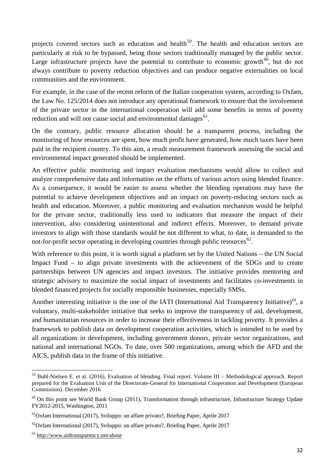projects covered sectors such as education and health<sup>59</sup>. The health and education sectors are particularly at risk to be bypassed, being those sectors traditionally managed by the public sector. Large infrastructure projects have the potential to contribute to economic growth<sup>[60](#page-31-1)</sup>, but do not always contribute to poverty reduction objectives and can produce negative externalities on local communities and the environment.

For example, in the case of the recent reform of the Italian cooperation system, according to Oxfam, the Law No. 125/2014 does not introduce any operational framework to ensure that the involvement of the private sector in the international cooperation will add some benefits in terms of poverty reduction and will not cause social and environmental damages<sup>[61](#page-31-2)</sup>.

On the contrary, public resource allocation should be a transparent process, including the monitoring of how resources are spent, how much profit have generated, how much taxes have been paid in the recipient country. To this aim, a result measurement framework assessing the social and environmental impact generated should be implemented.

An effective public monitoring and impact evaluation mechanisms would allow to collect and analyze comprehensive data and information on the efforts of various actors using blended finance. As a consequence, it would be easier to assess whether the blending operations may have the potential to achieve development objectives and an impact on poverty-reducing sectors such as health and education. Moreover, a public monitoring and evaluation mechanism would be helpful for the private sector, traditionally less used to indicators that measure the impact of their intervention, also considering unintentional and indirect effects. Moreover, to demand private investors to align with those standards would be not different to what, to date, is demanded to the not-for-profit sector operating in developing countries through public resources $62$ .

With reference to this point, it is worth signal a platform set by the United Nations – the UN Social Impact Fund – to align private investments with the achievement of the SDGs and to create partnerships between UN agencies and impact investors. The initiative provides mentoring and strategic advisory to maximize the social impact of investments and facilitates co-investments in blended financed projects for socially responsible businesses, especially SMSs.

Another interesting initiative is the one of the IATI (International Aid Transparency Initiative)<sup>[63](#page-31-4)</sup>, a voluntary, multi-stakeholder initiative that seeks to improve the transparency of aid, development, and humanitarian resources in order to increase their effectiveness in tackling poverty. It provides a framework to publish data on development cooperation activities, which is intended to be used by all organizations in development, including government donors, private sector organizations, and national and international NGOs. To date, over 500 organizations, among which the AFD and the AICS, publish data in the frame of this initiative.

<span id="page-31-0"></span><sup>59</sup> Buhl-Nielsen E. et al. (2016), Evaluation of blending. Final report. Volume III – Methodological approach. Report prepared for the Evaluation Unit of the Directorate-General for International Cooperation and Development (European Commission). December 2016

<span id="page-31-1"></span> $60$  On this point see World Bank Group (2011), Transformation through infrastructure, Infrastructure Strategy Update FY2012-2015, Washington, 2011

<span id="page-31-2"></span> $61$ Oxfam International (2017), Sviluppo: un affare privato?, Briefing Paper, Aprile 2017

<span id="page-31-3"></span> $62$ Oxfam International (2017), Sviluppo: un affare privato?, Briefing Paper, Aprile 2017

<span id="page-31-4"></span><sup>63</sup> <http://www.aidtransparency.net/about>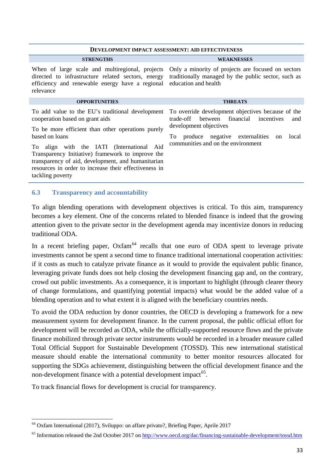| <b>DEVELOPMENT IMPACT ASSESSMENT: AID EFFECTIVENESS</b>                                                                                                                                                                                                                                                                                                                                            |                                                                                                                                                                                                                                            |
|----------------------------------------------------------------------------------------------------------------------------------------------------------------------------------------------------------------------------------------------------------------------------------------------------------------------------------------------------------------------------------------------------|--------------------------------------------------------------------------------------------------------------------------------------------------------------------------------------------------------------------------------------------|
| <b>STRENGTHS</b>                                                                                                                                                                                                                                                                                                                                                                                   | <b>WEAKNESSES</b>                                                                                                                                                                                                                          |
| When of large scale and multiregional, projects<br>directed to infrastructure related sectors, energy<br>efficiency and renewable energy have a regional<br>relevance                                                                                                                                                                                                                              | Only a minority of projects are focused on sectors<br>traditionally managed by the public sector, such as<br>education and health                                                                                                          |
| <b>OPPORTUNITIES</b>                                                                                                                                                                                                                                                                                                                                                                               | <b>THREATS</b>                                                                                                                                                                                                                             |
| To add value to the EU's traditional development<br>cooperation based on grant aids<br>To be more efficient than other operations purely<br>based on loans<br>align with the IATI (International Aid<br>Тo<br>Transparency Initiative) framework to improve the<br>transparency of aid, development, and humanitarian<br>resources in order to increase their effectiveness in<br>tackling poverty | To override development objectives because of the<br>financial incentives<br>hetween<br>trade-off<br>and<br>development objectives<br>produce negative externalities<br>Tо<br>local<br><sub>on</sub><br>communities and on the environment |

#### **6.3 Transparency and accountability**

To align blending operations with development objectives is critical. To this aim, transparency becomes a key element. One of the concerns related to blended finance is indeed that the growing attention given to the private sector in the development agenda may incentivize donors in reducing traditional ODA.

In a recent briefing paper,  $Ox$  and  $\frac{64}{9}$  $\frac{64}{9}$  $\frac{64}{9}$  recalls that one euro of ODA spent to leverage private investments cannot be spent a second time to finance traditional international cooperation activities: if it costs as much to catalyze private finance as it would to provide the equivalent public finance, leveraging private funds does not help closing the development financing gap and, on the contrary, crowd out public investments. As a consequence, it is important to highlight (through clearer theory of change formulations, and quantifying potential impacts) what would be the added value of a blending operation and to what extent it is aligned with the beneficiary countries needs.

To avoid the ODA reduction by donor countries, the OECD is developing a framework for a new measurement system for development finance. In the current proposal, the public official effort for development will be recorded as ODA, while the officially-supported resource flows and the private finance mobilized through private sector instruments would be recorded in a broader measure called Total Official Support for Sustainable Development (TOSSD). This new international statistical measure should enable the international community to better monitor resources allocated for supporting the SDGs achievement, distinguishing between the official development finance and the non-development finance with a potential development impact<sup>65</sup>.

To track financial flows for development is crucial for transparency.

<span id="page-32-0"></span><sup>64</sup> Oxfam International (2017), Sviluppo: un affare privato?, Briefing Paper, Aprile 2017

<span id="page-32-1"></span><sup>&</sup>lt;sup>65</sup> Information released the 2nd October 2017 on <http://www.oecd.org/dac/financing-sustainable-development/tossd.htm>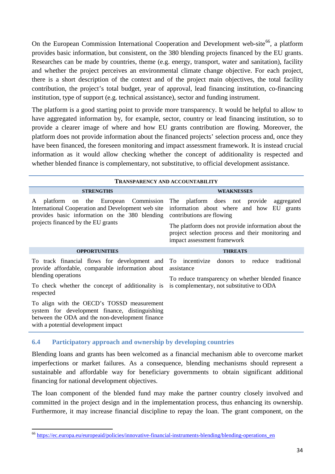On the European Commission International Cooperation and Development web-site<sup>[66](#page-33-0)</sup>, a platform provides basic information, but consistent, on the 380 blending projects financed by the EU grants. Researches can be made by countries, theme (e.g. energy, transport, water and sanitation), facility and whether the project perceives an environmental climate change objective. For each project, there is a short description of the context and of the project main objectives, the total facility contribution, the project's total budget, year of approval, lead financing institution, co-financing institution, type of support (e.g. technical assistance), sector and funding instrument.

The platform is a good starting point to provide more transparency. It would be helpful to allow to have aggregated information by, for example, sector, country or lead financing institution, so to provide a clearer image of where and how EU grants contribution are flowing. Moreover, the platform does not provide information about the financed projects' selection process and, once they have been financed, the foreseen monitoring and impact assessment framework. It is instead crucial information as it would allow checking whether the concept of additionality is respected and whether blended finance is complementary, not substitutive, to official development assistance.

| <b>TRANSPARENCY AND ACCOUNTABILITY</b>                                                                                                                                                 |                                                                                                                                          |  |
|----------------------------------------------------------------------------------------------------------------------------------------------------------------------------------------|------------------------------------------------------------------------------------------------------------------------------------------|--|
| <b>STRENGTHS</b>                                                                                                                                                                       | <b>WEAKNESSES</b>                                                                                                                        |  |
| platform on the European Commission<br>A<br>International Cooperation and Development web site<br>provides basic information on the 380 blending<br>projects financed by the EU grants | The platform does not provide aggregated<br>information about where and how EU grants<br>contributions are flowing                       |  |
|                                                                                                                                                                                        | The platform does not provide information about the<br>project selection process and their monitoring and<br>impact assessment framework |  |
| <b>OPPORTUNITIES</b>                                                                                                                                                                   | <b>THREATS</b>                                                                                                                           |  |
| To track financial flows for development and To incentivize donors to reduce traditional<br>provide affordable, comparable information about                                           | assistance                                                                                                                               |  |
| blending operations                                                                                                                                                                    | To reduce transparency on whether blended finance                                                                                        |  |
| To check whether the concept of additionality is<br>respected                                                                                                                          | is complementary, not substitutive to ODA                                                                                                |  |
| To align with the OECD's TOSSD measurement<br>system for development finance, distinguishing<br>between the ODA and the non-development finance<br>with a potential development impact |                                                                                                                                          |  |

#### **6.4 Participatory approach and ownership by developing countries**

Blending loans and grants has been welcomed as a financial mechanism able to overcome market imperfections or market failures. As a consequence, blending mechanisms should represent a sustainable and affordable way for beneficiary governments to obtain significant additional financing for national development objectives.

The loan component of the blended fund may make the partner country closely involved and committed in the project design and in the implementation process, thus enhancing its ownership. Furthermore, it may increase financial discipline to repay the loan. The grant component, on the

<span id="page-33-0"></span><sup>66</sup> [https://ec.europa.eu/europeaid/policies/innovative-financial-instruments-blending/blending-operations\\_en](https://ec.europa.eu/europeaid/policies/innovative-financial-instruments-blending/blending-operations_en)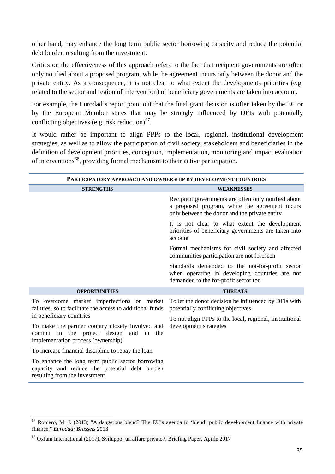other hand, may enhance the long term public sector borrowing capacity and reduce the potential debt burden resulting from the investment.

Critics on the effectiveness of this approach refers to the fact that recipient governments are often only notified about a proposed program, while the agreement incurs only between the donor and the private entity. As a consequence, it is not clear to what extent the developments priorities (e.g. related to the sector and region of intervention) of beneficiary governments are taken into account.

For example, the Eurodad's report point out that the final grant decision is often taken by the EC or by the European Member states that may be strongly influenced by DFIs with potentially conflicting objectives (e.g. risk reduction) $<sup>67</sup>$ .</sup>

It would rather be important to align PPPs to the local, regional, institutional development strategies, as well as to allow the participation of civil society, stakeholders and beneficiaries in the definition of development priorities, conception, implementation, monitoring and impact evaluation of interventions<sup>[68](#page-34-1)</sup>, providing formal mechanism to their active participation.

| <b>PARTICIPATORY APPROACH AND OWNERSHIP BY DEVELOPMENT COUNTRIES</b>                                                               |                                                                                                                                                        |
|------------------------------------------------------------------------------------------------------------------------------------|--------------------------------------------------------------------------------------------------------------------------------------------------------|
| <b>STRENGTHS</b>                                                                                                                   | <b>WEAKNESSES</b>                                                                                                                                      |
|                                                                                                                                    | Recipient governments are often only notified about<br>a proposed program, while the agreement incurs<br>only between the donor and the private entity |
|                                                                                                                                    | It is not clear to what extent the development<br>priorities of beneficiary governments are taken into<br>account                                      |
|                                                                                                                                    | Formal mechanisms for civil society and affected<br>communities participation are not foreseen                                                         |
|                                                                                                                                    | Standards demanded to the not-for-profit sector<br>when operating in developing countries are not<br>demanded to the for-profit sector too             |
| <b>OPPORTUNITIES</b>                                                                                                               | <b>THREATS</b>                                                                                                                                         |
| To overcome market imperfections or market<br>failures, so to facilitate the access to additional funds                            | To let the donor decision be influenced by DFIs with<br>potentially conflicting objectives                                                             |
| in beneficiary countries                                                                                                           | To not align PPPs to the local, regional, institutional                                                                                                |
| To make the partner country closely involved and<br>commit in the project design and in the<br>implementation process (ownership)  | development strategies                                                                                                                                 |
| To increase financial discipline to repay the loan                                                                                 |                                                                                                                                                        |
| To enhance the long term public sector borrowing<br>capacity and reduce the potential debt burden<br>resulting from the investment |                                                                                                                                                        |

<span id="page-34-0"></span> $67$  Romero, M. J. (2013) "A dangerous blend? The EU's agenda to 'blend' public development finance with private finance." *Eurodad: Brussels* 2013

<span id="page-34-1"></span><sup>68</sup> Oxfam International (2017), Sviluppo: un affare privato?, Briefing Paper, Aprile 2017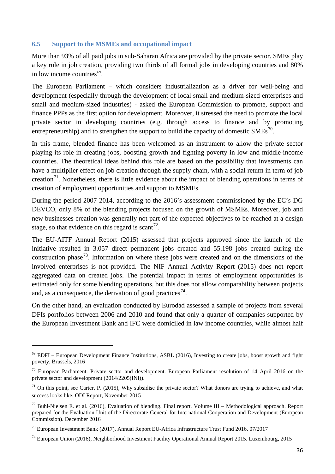#### **6.5 Support to the MSMEs and occupational impact**

More than 93% of all paid jobs in sub-Saharan Africa are provided by the private sector. SMEs play a key role in job creation, providing two thirds of all formal jobs in developing countries and 80% in low income countries $<sup>69</sup>$  $<sup>69</sup>$  $<sup>69</sup>$ .</sup>

The European Parliament – which considers industrialization as a driver for well-being and development (especially through the development of local small and medium-sized enterprises and small and medium-sized industries) - asked the European Commission to promote, support and finance PPPs as the first option for development. Moreover, it stressed the need to promote the local private sector in developing countries (e.g. through access to finance and by promoting entrepreneurship) and to strengthen the support to build the capacity of domestic  $SMEs^{70}$ .

In this frame, blended finance has been welcomed as an instrument to allow the private sector playing its role in creating jobs, boosting growth and fighting poverty in low and middle-income countries. The theoretical ideas behind this role are based on the possibility that investments can have a multiplier effect on job creation through the supply chain, with a social return in term of job creation<sup>71</sup>. Nonetheless, there is little evidence about the impact of blending operations in terms of creation of employment opportunities and support to MSMEs.

During the period 2007-2014, according to the 2016's assessment commissioned by the EC's DG DEVCO, only 8% of the blending projects focused on the growth of MSMEs. Moreover, job and new businesses creation was generally not part of the expected objectives to be reached at a design stage, so that evidence on this regard is scant<sup>72</sup>.

The EU-AITF Annual Report (2015) assessed that projects approved since the launch of the initiative resulted in 3.057 direct permanent jobs created and 55.198 jobs created during the construction phase<sup>[73](#page-35-4)</sup>. Information on where these jobs were created and on the dimensions of the involved enterprises is not provided. The NIF Annual Activity Report (2015) does not report aggregated data on created jobs. The potential impact in terms of employment opportunities is estimated only for some blending operations, but this does not allow comparability between projects and, as a consequence, the derivation of good practices<sup>[74](#page-35-5)</sup>.

On the other hand, an evaluation conducted by Eurodad assessed a sample of projects from several DFIs portfolios between 2006 and 2010 and found that only a quarter of companies supported by the European Investment Bank and IFC were domiciled in law income countries, while almost half

**.** 

<span id="page-35-0"></span> $^{69}$  EDFI – European Development Finance Institutions, ASBL (2016), Investing to create jobs, boost growth and fight poverty. Brussels, 2016

<span id="page-35-1"></span> $^{70}$  European Parliament. Private sector and development. European Parliament resolution of 14 April 2016 on the private sector and development (2014/2205(INI)).

<span id="page-35-2"></span> $71$  On this point, see Carter, P. (2015), Why subsidise the private sector? What donors are trying to achieve, and what success looks like. ODI Report, November 2015

<span id="page-35-3"></span> $^{72}$  Buhl-Nielsen E. et al. (2016), Evaluation of blending. Final report. Volume III – Methodological approach. Report prepared for the Evaluation Unit of the Directorate-General for International Cooperation and Development (European Commission). December 2016

<span id="page-35-4"></span><sup>&</sup>lt;sup>73</sup> European Investment Bank (2017), Annual Report EU-Africa Infrastructure Trust Fund 2016, 07/2017

<span id="page-35-5"></span><sup>74</sup> European Union (2016), Neighborhood Investment Facility Operational Annual Report 2015. Luxembourg, 2015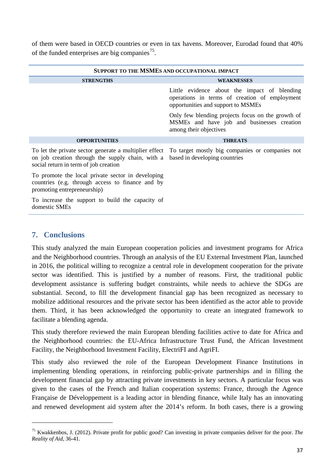of them were based in OECD countries or even in tax havens. Moreover, Eurodad found that 40% of the funded enterprises are big companies<sup>75</sup>.

| SUPPORT TO THE MSMES AND OCCUPATIONAL IMPACT                                                                                         |                                                                                                                                     |  |  |  |
|--------------------------------------------------------------------------------------------------------------------------------------|-------------------------------------------------------------------------------------------------------------------------------------|--|--|--|
| <b>STRENGTHS</b>                                                                                                                     | <b>WEAKNESSES</b>                                                                                                                   |  |  |  |
|                                                                                                                                      | Little evidence about the impact of blending<br>operations in terms of creation of employment<br>opportunities and support to MSMEs |  |  |  |
|                                                                                                                                      | Only few blending projects focus on the growth of<br>MSMEs and have job and businesses creation<br>among their objectives           |  |  |  |
| <b>OPPORTUNITIES</b>                                                                                                                 | <b>THREATS</b>                                                                                                                      |  |  |  |
| on job creation through the supply chain, with a based in developing countries<br>social return in term of job creation              | To let the private sector generate a multiplier effect To target mostly big companies or companies not                              |  |  |  |
| To promote the local private sector in developing<br>countries (e.g. through access to finance and by<br>promoting entrepreneurship) |                                                                                                                                     |  |  |  |
| To increase the support to build the capacity of<br>domestic SMEs                                                                    |                                                                                                                                     |  |  |  |

## **7. Conclusions**

<u>.</u>

This study analyzed the main European cooperation policies and investment programs for Africa and the Neighborhood countries. Through an analysis of the EU External Investment Plan, launched in 2016, the political willing to recognize a central role in development cooperation for the private sector was identified. This is justified by a number of reasons. First, the traditional public development assistance is suffering budget constraints, while needs to achieve the SDGs are substantial. Second, to fill the development financial gap has been recognized as necessary to mobilize additional resources and the private sector has been identified as the actor able to provide them. Third, it has been acknowledged the opportunity to create an integrated framework to facilitate a blending agenda.

This study therefore reviewed the main European blending facilities active to date for Africa and the Neighborhood countries: the EU-Africa Infrastructure Trust Fund, the African Investment Facility, the [Neighborhood Investment Facility,](http://ec.europa.eu/enlargement/neighbourhood/neighbourhood-wide/neighbourhood-investment-facility/index_en.htm) ElectriFI and AgriFI.

This study also reviewed the role of the European Development Finance Institutions in implementing blending operations, in reinforcing public-private partnerships and in filling the development financial gap by attracting private investments in key sectors. A particular focus was given to the cases of the French and Italian cooperation systems: France, through the Agence Française de Développement is a leading actor in blending finance, while Italy has an innovating and renewed development aid system after the 2014's reform. In both cases, there is a growing

<span id="page-36-0"></span><sup>75</sup> Kwakkenbos, J. (2012). Private profit for public good? Can investing in private companies deliver for the poor. *The Reality of Aid*, 36-41.